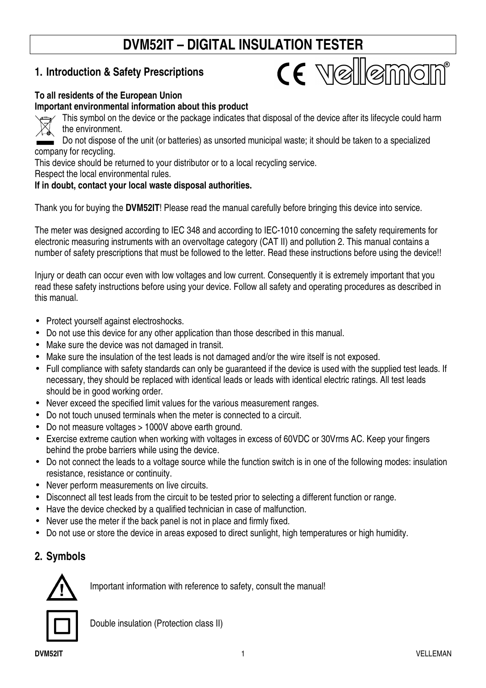# **DVM52IT – DIGITAL INSULATION TESTER**

CE Vellemon

# **1. Introduction & Safety Prescriptions**

#### **To all residents of the European Union**

#### **Important environmental information about this product**



This symbol on the device or the package indicates that disposal of the device after its lifecycle could harm the environment.

Do not dispose of the unit (or batteries) as unsorted municipal waste; it should be taken to a specialized company for recycling.

This device should be returned to your distributor or to a local recycling service.

Respect the local environmental rules.

#### **If in doubt, contact your local waste disposal authorities.**

Thank you for buying the **DVM52IT**! Please read the manual carefully before bringing this device into service.

The meter was designed according to IEC 348 and according to IEC-1010 concerning the safety requirements for electronic measuring instruments with an overvoltage category (CAT II) and pollution 2. This manual contains a number of safety prescriptions that must be followed to the letter. Read these instructions before using the device!!

Injury or death can occur even with low voltages and low current. Consequently it is extremely important that you read these safety instructions before using your device. Follow all safety and operating procedures as described in this manual.

- Protect yourself against electroshocks.
- Do not use this device for any other application than those described in this manual.
- Make sure the device was not damaged in transit.
- Make sure the insulation of the test leads is not damaged and/or the wire itself is not exposed.
- Full compliance with safety standards can only be guaranteed if the device is used with the supplied test leads. If necessary, they should be replaced with identical leads or leads with identical electric ratings. All test leads should be in good working order.
- Never exceed the specified limit values for the various measurement ranges.
- Do not touch unused terminals when the meter is connected to a circuit.
- Do not measure voltages > 1000V above earth ground.
- Exercise extreme caution when working with voltages in excess of 60VDC or 30Vrms AC. Keep your fingers behind the probe barriers while using the device.
- Do not connect the leads to a voltage source while the function switch is in one of the following modes: insulation resistance, resistance or continuity.
- Never perform measurements on live circuits.
- Disconnect all test leads from the circuit to be tested prior to selecting a different function or range.
- Have the device checked by a qualified technician in case of malfunction.
- Never use the meter if the back panel is not in place and firmly fixed.
- Do not use or store the device in areas exposed to direct sunlight, high temperatures or high humidity.

# **2. Symbols**



Important information with reference to safety, consult the manual!



Double insulation (Protection class II)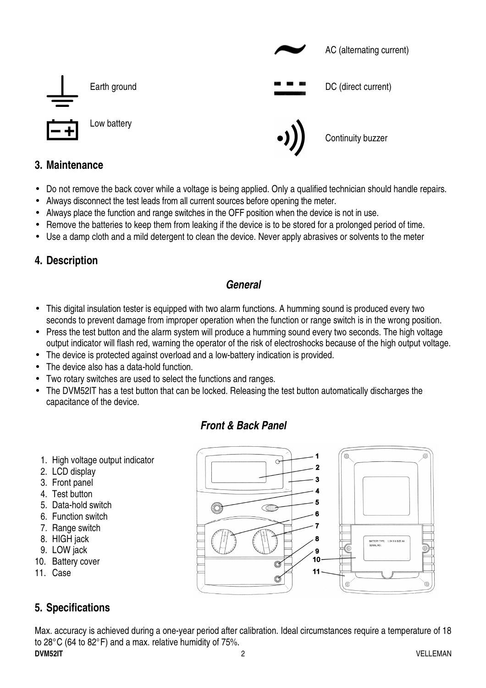

## **3. Maintenance**

- Do not remove the back cover while a voltage is being applied. Only a qualified technician should handle repairs.
- Always disconnect the test leads from all current sources before opening the meter.
- Always place the function and range switches in the OFF position when the device is not in use.
- Remove the batteries to keep them from leaking if the device is to be stored for a prolonged period of time.
- Use a damp cloth and a mild detergent to clean the device. Never apply abrasives or solvents to the meter

#### **4. Description**

#### **General**

- This digital insulation tester is equipped with two alarm functions. A humming sound is produced every two seconds to prevent damage from improper operation when the function or range switch is in the wrong position.
- Press the test button and the alarm system will produce a humming sound every two seconds. The high voltage output indicator will flash red, warning the operator of the risk of electroshocks because of the high output voltage.
- The device is protected against overload and a low-battery indication is provided.
- The device also has a data-hold function.
- Two rotary switches are used to select the functions and ranges.
- The DVM52IT has a test button that can be locked. Releasing the test button automatically discharges the capacitance of the device.

#### **Front & Back Panel**

- 1. High voltage output indicator
- 2. LCD display
- 3. Front panel
- 4. Test button
- 5. Data-hold switch
- 6. Function switch
- 7. Range switch
- 8. HIGH jack
- 9. LOW jack
- 10. Battery cover
- 11. Case

#### **5. Specifications**

**DVM52IT** 2 VELLEMAN Max. accuracy is achieved during a one-year period after calibration. Ideal circumstances require a temperature of 18 to 28°C (64 to 82°F) and a max. relative humidity of 75%.

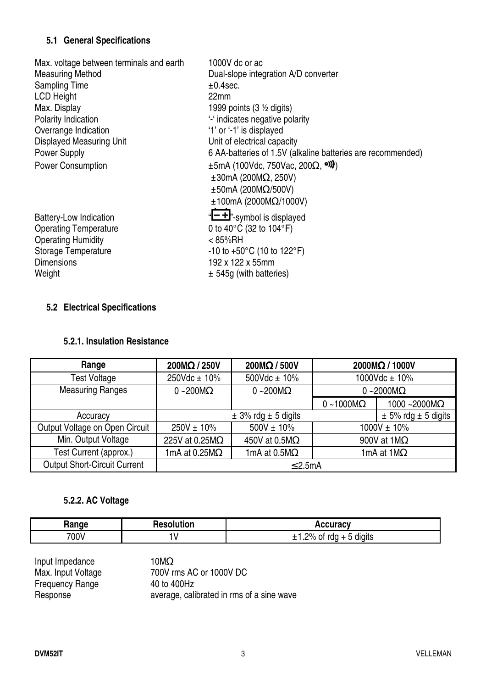#### **5.1 General Specifications**

| Max. voltage between terminals and earth                  | 1000V dc or ac                                              |
|-----------------------------------------------------------|-------------------------------------------------------------|
| <b>Measuring Method</b>                                   | Dual-slope integration A/D converter                        |
| <b>Sampling Time</b>                                      | $±0.4$ sec.                                                 |
| <b>LCD Height</b>                                         | 22 <sub>mm</sub>                                            |
| Max. Display                                              | 1999 points $(3 \frac{1}{2})$ digits)                       |
| Polarity Indication                                       | "-" indicates negative polarity                             |
| Overrange Indication                                      | '1' or '-1' is displayed                                    |
| <b>Displayed Measuring Unit</b>                           | Unit of electrical capacity                                 |
| <b>Power Supply</b>                                       | 6 AA-batteries of 1.5V (alkaline batteries are recommended) |
| <b>Power Consumption</b>                                  | $\pm 5$ mA (100Vdc, 750Vac, 200 $\Omega$ , <sup>o)</sup> )  |
|                                                           | $\pm 30$ mA (200M $\Omega$ , 250V)                          |
|                                                           | $\pm 50$ mA (200M $\Omega$ /500V)                           |
|                                                           | $±100mA$ (2000M $\Omega$ /1000V)                            |
|                                                           | "-+"-symbol is displayed                                    |
| <b>Battery-Low Indication</b>                             | 0 to 40 $^{\circ}$ C (32 to 104 $^{\circ}$ F)               |
| <b>Operating Temperature</b><br><b>Operating Humidity</b> | $< 85\%$ RH                                                 |
| <b>Storage Temperature</b>                                | $-10$ to $+50^{\circ}$ C (10 to 122 $^{\circ}$ F)           |
| <b>Dimensions</b>                                         | 192 x 122 x 55mm                                            |
|                                                           |                                                             |
| Weight                                                    | $\pm$ 545g (with batteries)                                 |

#### **5.2 Electrical Specifications**

#### **5.2.1. Insulation Resistance**

| Range                               | 200MΩ / 250V                                           | $200M\Omega/500V$     |                             | 2000MΩ / 1000V           |
|-------------------------------------|--------------------------------------------------------|-----------------------|-----------------------------|--------------------------|
| <b>Test Voltage</b>                 | $250Vdc \pm 10\%$                                      | 500Vdc $\pm$ 10%      |                             | 1000Vdc $\pm$ 10%        |
| <b>Measuring Ranges</b>             | $0 - 200 \text{M}\Omega$                               | $0 - 200M\Omega$      |                             | $0 - 2000M\Omega$        |
|                                     |                                                        |                       | $0 - 1000 \text{M}\Omega$   | 1000 ~2000 $M\Omega$     |
| Accuracy                            | $\pm$ 3% rdg $\pm$ 5 digits                            |                       | $\pm$ 5% rdg $\pm$ 5 digits |                          |
| Output Voltage on Open Circuit      | $500V \pm 10\%$<br>$250V \pm 10\%$<br>$1000V \pm 10\%$ |                       |                             |                          |
| Min. Output Voltage                 | 225V at 0.25MΩ                                         | 450V at 0.5M $\Omega$ |                             | 900V at $1M\Omega$       |
| Test Current (approx.)              | 1mA at 0.25 $M\Omega$                                  | 1mA at $0.5M\Omega$   |                             | 1mA at $1\text{M}\Omega$ |
| <b>Output Short-Circuit Current</b> | $\leq$ 2.5mA                                           |                       |                             |                          |

# **5.2.2. AC Voltage**

| Danas<br>naı | 1122222<br>uor<br>ne. | .                                                                 |
|--------------|-----------------------|-------------------------------------------------------------------|
| 700V         | ۱.                    | $\cdots$<br>-<br>່ ? $\%$ ບ່<br>.<br>ot rdg ∴<br>diaits<br>-<br>ີ |

| Input Impedance        | 10 $M\Omega$                              |
|------------------------|-------------------------------------------|
| Max. Input Voltage     | 700V rms AC or 1000V DC                   |
| <b>Frequency Range</b> | 40 to 400Hz                               |
| Response               | average, calibrated in rms of a sine wave |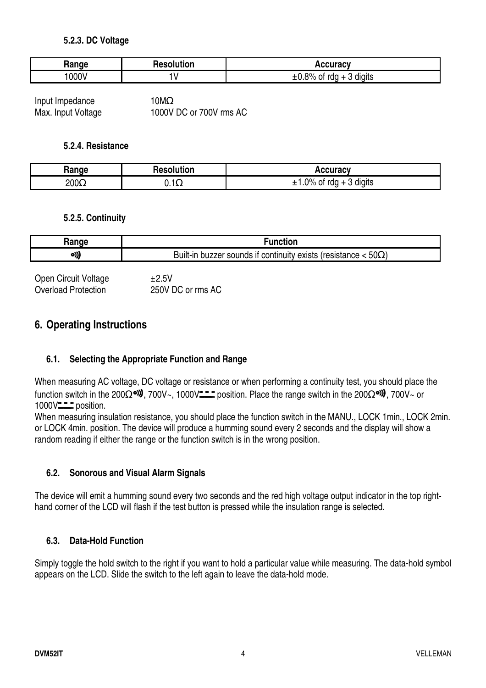#### **5.2.3. DC Voltage**

| Range | <b>Resolution</b> | <b>Accuracy</b>                         |
|-------|-------------------|-----------------------------------------|
| 000V  |                   | .8%<br>digits<br>rda<br>OI<br>$+1$<br>ີ |

Input Impedance 10MΩ Max. Input Voltage 1000V DC or 700V rms AC

#### **5.2.4. Resistance**

| Range       | <b>Resolution</b>         | <b>Accuracy</b>                        |
|-------------|---------------------------|----------------------------------------|
| $200\Omega$ | $\sqrt{2}$<br><b>V.IL</b> | $\gamma\%$<br>rda<br>diaits<br>0t<br>- |

#### **5.2.5. Continuity**

| Range | ™unction                                                                                 |
|-------|------------------------------------------------------------------------------------------|
| ၀))   | $50\Omega$<br><sup>.</sup> exists (resistance<br>continuity<br>Built-in buzzer sounds if |

| Open Circuit Voltage       | ±2.5V             |
|----------------------------|-------------------|
| <b>Overload Protection</b> | 250V DC or rms AC |

#### **6. Operating Instructions**

#### **6.1. Selecting the Appropriate Function and Range**

When measuring AC voltage, DC voltage or resistance or when performing a continuity test, you should place the function switch in the 200 $\Omega$ <sup>o</sup>. 700V~, 1000V = position. Place the range switch in the 200 $\Omega$ <sup>o.</sup>, 700V~ or 1000V<sup>-1</sup> position.

When measuring insulation resistance, you should place the function switch in the MANU., LOCK 1 min., LOCK 2 min. or LOCK 4min. position. The device will produce a humming sound every 2 seconds and the display will show a random reading if either the range or the function switch is in the wrong position.

#### **6.2. Sonorous and Visual Alarm Signals**

The device will emit a humming sound every two seconds and the red high voltage output indicator in the top righthand corner of the LCD will flash if the test button is pressed while the insulation range is selected.

#### **6.3. Data-Hold Function**

Simply toggle the hold switch to the right if you want to hold a particular value while measuring. The data-hold symbol appears on the LCD. Slide the switch to the left again to leave the data-hold mode.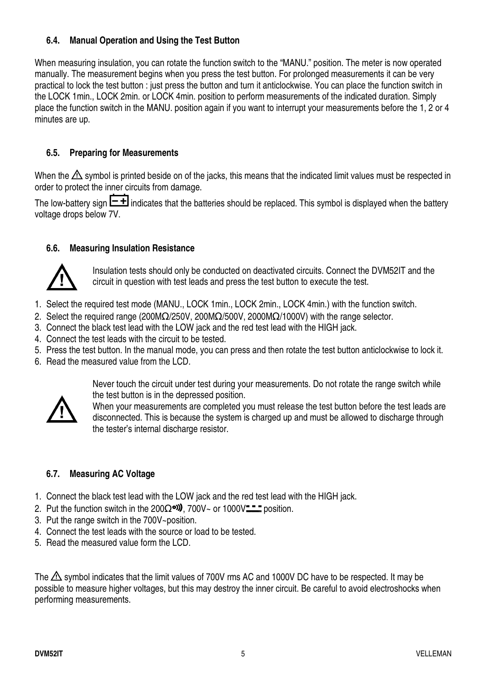#### **6.4. Manual Operation and Using the Test Button**

When measuring insulation, you can rotate the function switch to the "MANU." position. The meter is now operated manually. The measurement begins when you press the test button. For prolonged measurements it can be very practical to lock the test button : just press the button and turn it anticlockwise. You can place the function switch in the LOCK 1min., LOCK 2min. or LOCK 4min. position to perform measurements of the indicated duration. Simply place the function switch in the MANU. position again if you want to interrupt your measurements before the 1, 2 or 4 minutes are up.

#### **6.5. Preparing for Measurements**

When the  $\triangle$  symbol is printed beside on of the jacks, this means that the indicated limit values must be respected in order to protect the inner circuits from damage.

The low-battery sign  $\boxed{-1}$  indicates that the batteries should be replaced. This symbol is displayed when the battery voltage drops below 7V.

#### **6.6. Measuring Insulation Resistance**



Insulation tests should only be conducted on deactivated circuits. Connect the DVM52IT and the circuit in question with test leads and press the test button to execute the test.

- 1. Select the required test mode (MANU., LOCK 1min., LOCK 2min., LOCK 4min.) with the function switch.
- 2. Select the required range (200M $\Omega$ /250V, 200M $\Omega$ /500V, 2000M $\Omega$ /1000V) with the range selector.
- 3. Connect the black test lead with the LOW jack and the red test lead with the HIGH jack.
- 4. Connect the test leads with the circuit to be tested.
- 5. Press the test button. In the manual mode, you can press and then rotate the test button anticlockwise to lock it.
- 6. Read the measured value from the LCD.



Never touch the circuit under test during your measurements. Do not rotate the range switch while the test button is in the depressed position.

When your measurements are completed you must release the test button before the test leads are disconnected. This is because the system is charged up and must be allowed to discharge through the tester's internal discharge resistor.

#### **6.7. Measuring AC Voltage**

- 1. Connect the black test lead with the LOW jack and the red test lead with the HIGH jack.
- 2. Put the function switch in the 200 $\Omega$ <sup>ol</sup>). 700V~ or 1000V<del> = p</del>osition.
- 3. Put the range switch in the 700V~position.
- 4. Connect the test leads with the source or load to be tested.
- 5. Read the measured value form the LCD.

The  $\triangle$  symbol indicates that the limit values of 700V rms AC and 1000V DC have to be respected. It may be possible to measure higher voltages, but this may destroy the inner circuit. Be careful to avoid electroshocks when performing measurements.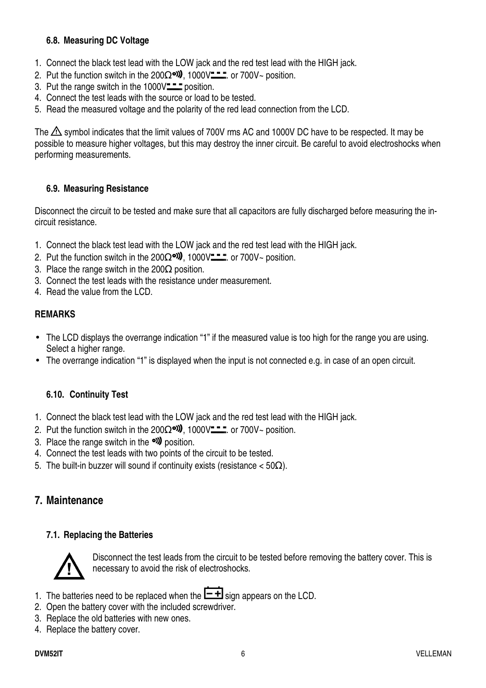#### **6.8. Measuring DC Voltage**

- 1. Connect the black test lead with the LOW jack and the red test lead with the HIGH jack.
- 2. Put the function switch in the  $200\Omega$ <sup>ord</sup>, 1000V<del> ...</del> or 700V~ position.
- 3. Put the range switch in the  $1000V^{\bullet}$  position.
- 4. Connect the test leads with the source or load to be tested.
- 5. Read the measured voltage and the polarity of the red lead connection from the LCD.

The  $\triangle$  symbol indicates that the limit values of 700V rms AC and 1000V DC have to be respected. It may be possible to measure higher voltages, but this may destroy the inner circuit. Be careful to avoid electroshocks when performing measurements.

#### **6.9. Measuring Resistance**

Disconnect the circuit to be tested and make sure that all capacitors are fully discharged before measuring the incircuit resistance.

- 1. Connect the black test lead with the LOW jack and the red test lead with the HIGH jack.
- 2. Put the function switch in the 200 $\Omega$ <sup>old</sup>, 1000V $\text{---}$  or 700V~ position.
- 3. Place the range switch in the 200 $\Omega$  position.
- 3. Connect the test leads with the resistance under measurement.
- 4. Read the value from the LCD.

#### **REMARKS**

- The LCD displays the overrange indication "1" if the measured value is too high for the range you are using. Select a higher range.
- The overrange indication "1" is displayed when the input is not connected e.g. in case of an open circuit.

#### **6.10. Continuity Test**

- 1. Connect the black test lead with the LOW jack and the red test lead with the HIGH jack.
- 2. Put the function switch in the 200 $\Omega$ <sup>old</sup>, 1000V<del> . .</del> or 700V~ position.
- 3. Place the range switch in the  $\omega$  position.
- 4. Connect the test leads with two points of the circuit to be tested.
- 5. The built-in buzzer will sound if continuity exists (resistance  $<$  50Ω).

#### **7. Maintenance**

#### **7.1. Replacing the Batteries**



Disconnect the test leads from the circuit to be tested before removing the battery cover. This is necessary to avoid the risk of electroshocks.

- 1. The batteries need to be replaced when the  $\boxed{\text{-}\text{+}}$  sign appears on the LCD.
- 2. Open the battery cover with the included screwdriver.
- 3. Replace the old batteries with new ones.
- 4. Replace the battery cover.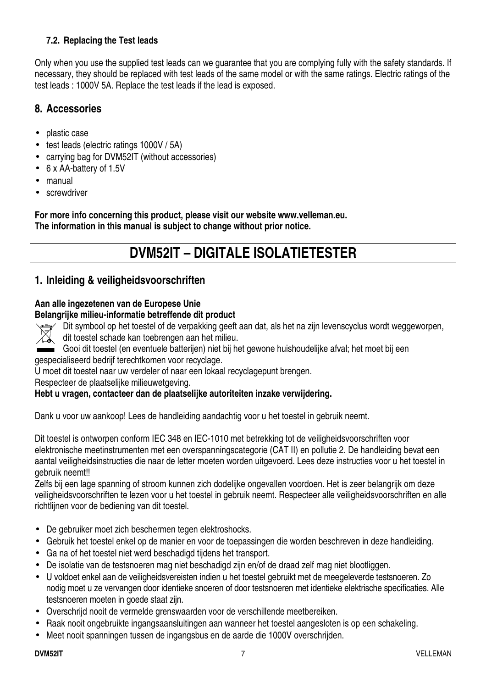#### **7.2. Replacing the Test leads**

Only when you use the supplied test leads can we guarantee that you are complying fully with the safety standards. If necessary, they should be replaced with test leads of the same model or with the same ratings. Electric ratings of the test leads : 1000V 5A. Replace the test leads if the lead is exposed.

#### **8. Accessories**

- plastic case
- test leads (electric ratings 1000V / 5A)
- carrying bag for DVM52IT (without accessories)
- 6 x AA-battery of 1.5V
- manual
- screwdriver

**For more info concerning this product, please visit our website www.velleman.eu. The information in this manual is subject to change without prior notice.** 

# **DVM52IT – DIGITALE ISOLATIETESTER**

#### **1. Inleiding & veiligheidsvoorschriften**

#### **Aan alle ingezetenen van de Europese Unie**

#### **Belangrijke milieu-informatie betreffende dit product**



Dit symbool op het toestel of de verpakking geeft aan dat, als het na zijn levenscyclus wordt weggeworpen, dit toestel schade kan toebrengen aan het milieu.

Gooi dit toestel (en eventuele batterijen) niet bij het gewone huishoudelijke afval; het moet bij een gespecialiseerd bedrijf terechtkomen voor recyclage.

U moet dit toestel naar uw verdeler of naar een lokaal recyclagepunt brengen.

Respecteer de plaatselijke milieuwetgeving.

#### **Hebt u vragen, contacteer dan de plaatselijke autoriteiten inzake verwijdering.**

Dank u voor uw aankoop! Lees de handleiding aandachtig voor u het toestel in gebruik neemt.

Dit toestel is ontworpen conform IEC 348 en IEC-1010 met betrekking tot de veiligheidsvoorschriften voor elektronische meetinstrumenten met een overspanningscategorie (CAT II) en pollutie 2. De handleiding bevat een aantal veiligheidsinstructies die naar de letter moeten worden uitgevoerd. Lees deze instructies voor u het toestel in gebruik neemt!!

Zelfs bij een lage spanning of stroom kunnen zich dodelijke ongevallen voordoen. Het is zeer belangrijk om deze veiligheidsvoorschriften te lezen voor u het toestel in gebruik neemt. Respecteer alle veiligheidsvoorschriften en alle richtlijnen voor de bediening van dit toestel.

- De gebruiker moet zich beschermen tegen elektroshocks.
- Gebruik het toestel enkel op de manier en voor de toepassingen die worden beschreven in deze handleiding.
- Ga na of het toestel niet werd beschadigd tijdens het transport.
- De isolatie van de testsnoeren mag niet beschadigd zijn en/of de draad zelf mag niet blootliggen.
- U voldoet enkel aan de veiligheidsvereisten indien u het toestel gebruikt met de meegeleverde testsnoeren. Zo nodig moet u ze vervangen door identieke snoeren of door testsnoeren met identieke elektrische specificaties. Alle testsnoeren moeten in goede staat zijn.
- Overschrijd nooit de vermelde grenswaarden voor de verschillende meetbereiken.
- Raak nooit ongebruikte ingangsaansluitingen aan wanneer het toestel aangesloten is op een schakeling.
- Meet nooit spanningen tussen de ingangsbus en de aarde die 1000V overschrijden.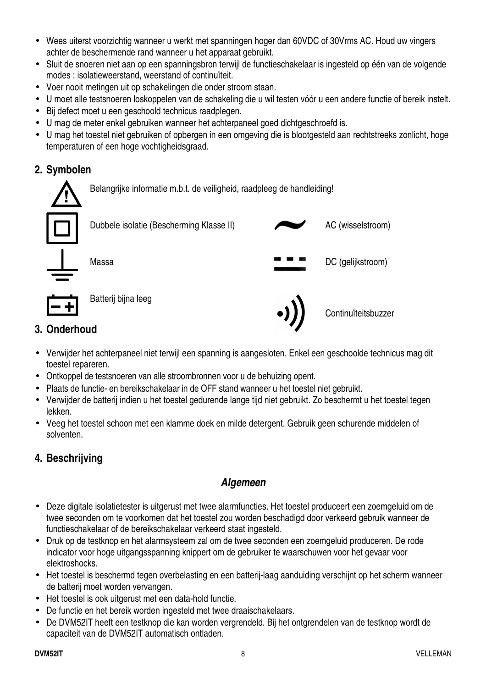- Wees uiterst voorzichtig wanneer u werkt met spanningen hoger dan 60VDC of 30Vrms AC. Houd uw vingers achter de beschermende rand wanneer u het apparaat gebruikt.
- Sluit de snoeren niet aan op een spanningsbron terwijl de functieschakelaar is ingesteld op één van de volgende modes : isolatieweerstand, weerstand of continuïteit.
- Voer nooit metingen uit op schakelingen die onder stroom staan.
- U moet alle testsnoeren loskoppelen van de schakeling die u wil testen vóór u een andere functie of bereik instelt.
- Bij defect moet u een geschoold technicus raadplegen.
- U mag de meter enkel gebruiken wanneer het achterpaneel goed dichtgeschroefd is.
- U mag het toestel niet gebruiken of opbergen in een omgeving die is blootgesteld aan rechtstreeks zonlicht, hoge temperaturen of een hoge vochtigheidsgraad.

# **2. Symbolen**



# **3. Onderhoud**

- Verwijder het achterpaneel niet terwijl een spanning is aangesloten. Enkel een geschoolde technicus mag dit toestel repareren.
- Ontkoppel de testsnoeren van alle stroombronnen voor u de behuizing opent.
- Plaats de functie- en bereikschakelaar in de OFF stand wanneer u het toestel niet gebruikt.
- Verwijder de batterij indien u het toestel gedurende lange tijd niet gebruikt. Zo beschermt u het toestel tegen lekken.
- Veeg het toestel schoon met een klamme doek en milde detergent. Gebruik geen schurende middelen of solventen.

# **4. Beschrijving**

# **Algemeen**

- Deze digitale isolatietester is uitgerust met twee alarmfuncties. Het toestel produceert een zoemgeluid om de twee seconden om te voorkomen dat het toestel zou worden beschadigd door verkeerd gebruik wanneer de functieschakelaar of de bereikschakelaar verkeerd staat ingesteld.
- Druk op de testknop en het alarmsysteem zal om de twee seconden een zoemgeluid produceren. De rode indicator voor hoge uitgangsspanning knippert om de gebruiker te waarschuwen voor het gevaar voor elektroshocks.
- Het toestel is beschermd tegen overbelasting en een batterij-laag aanduiding verschijnt op het scherm wanneer de batterij moet worden vervangen.
- Het toestel is ook uitgerust met een data-hold functie.
- De functie en het bereik worden ingesteld met twee draaischakelaars.
- De DVM52IT heeft een testknop die kan worden vergrendeld. Bij het ontgrendelen van de testknop wordt de capaciteit van de DVM52IT automatisch ontladen.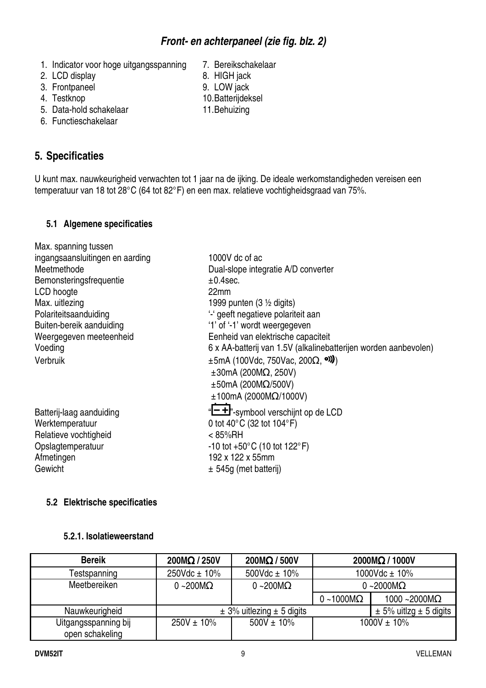| 5.2 Elektrische specificaties |                   |                                   |                   |                                |
|-------------------------------|-------------------|-----------------------------------|-------------------|--------------------------------|
| 5.2.1. Isolatieweerstand      |                   |                                   |                   |                                |
| <b>Bereik</b>                 | $200M\Omega/250V$ | $200M\Omega/500V$                 |                   | 2000MΩ / 1000V                 |
| Testspanning                  | $250Vdc \pm 10\%$ | 500Vdc $\pm$ 10%                  |                   | 1000Vdc $\pm$ 10%              |
| Meetbereiken                  | $0 - 200 M\Omega$ | $0 - 200M\Omega$                  |                   | $0 - 2000 \text{M}\Omega$      |
|                               |                   |                                   | $0 - 1000M\Omega$ | $1000 - 2000M\Omega$           |
| Nauwkeurigheid                |                   | $\pm$ 3% uitlezing $\pm$ 5 digits |                   | $\pm$ 5% uitlzg $\pm$ 5 digits |

 $250V \pm 10\%$  500V  $\pm 10\%$  1000V  $\pm 10\%$ 

| Bemonsteringsfrequentie  | $±0.4$ sec.                                                     |
|--------------------------|-----------------------------------------------------------------|
| LCD hoogte               | 22mm                                                            |
| Max. uitlezing           | 1999 punten (3 $\frac{1}{2}$ digits)                            |
| Polariteitsaanduiding    | '-' geeft negatieve polariteit aan                              |
| Buiten-bereik aanduiding | '1' of '-1' wordt weergegeven                                   |
| Weergegeven meeteenheid  | Eenheid van elektrische capaciteit                              |
| Voeding                  | 6 x AA-batterij van 1.5V (alkalinebatterijen worden aanbevolen) |
| Verbruik                 | $\pm 5$ mA (100Vdc, 750Vac, 200 $\Omega$ , <sup>o)</sup> )      |
|                          | $\pm 30$ mA (200M $\Omega$ , 250V)                              |
|                          | $\pm 50$ mA (200M $\Omega$ /500V)                               |
|                          | $±100mA$ (2000M $\Omega$ /1000V)                                |
| Batterij-laag aanduiding | "-+"-symbool verschijnt op de LCD                               |
| Werktemperatuur          | 0 tot 40 $^{\circ}$ C (32 tot 104 $^{\circ}$ F)                 |
| Relatieve vochtigheid    | < 85%RH                                                         |
| Opslagtemperatuur        | $-10$ tot $+50^{\circ}$ C (10 tot 122 $^{\circ}$ F)             |
| Afmetingen               | 192 x 122 x 55mm                                                |
| Gewicht                  | $\pm$ 545g (met batterij)                                       |
|                          |                                                                 |

# **5.1 Algemene specificaties**

#### U kunt max. nauwkeurigheid verwachten tot 1 jaar na de ijking. De ideale werkomstandigheden vereisen een temperatuur van 18 tot 28°C (64 tot 82°F) en een max. relatieve vochtigheidsgraad van 75%.

Max. spanning tussen

# 2. LCD display 8. HIGH jack

ingangsaansluitingen en aarding 1000V dc of ac

Meetmethode Dual-slope integratie A/D converter

- 3. Frontpaneel 9. LOW jack
- 
- 5. Data-hold schakelaar 11. Behuizing
- 6. Functieschakelaar

# **5. Specificaties**

1. Indicator voor hoge uitgangsspanning 7. Bereikschakelaar

**Front- en achterpaneel (zie fig. blz. 2)** 

- 
- 
- 4. Testknop 10. Batterijdeksel
	-
- 
- 
- 
-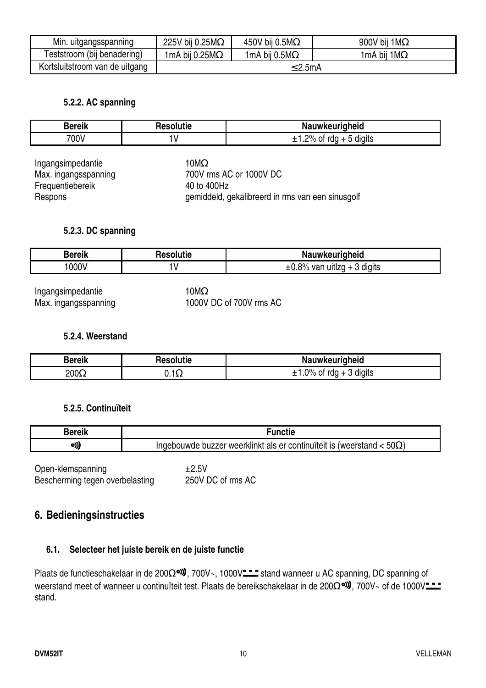| Min. uitgangsspanning          | 225V bij 0.25M $\Omega$ | 450V bij 0.5M $\Omega$ | 900V bij 1 $M\Omega$ |
|--------------------------------|-------------------------|------------------------|----------------------|
| Teststroom (bij benadering)    | 1mA bij 0.25M $\Omega$  | 1mA bij 0.5M $\Omega$  | 1mA bij 1M $\Omega$  |
| Kortsluitstroom van de uitgang | $\leq$ 2.5mA            |                        |                      |

#### **5.2.2. AC spanning**

| - 11<br><b>HATAIL</b> | .  | keuriaheid<br>.<br>NÞ<br>l IWI                                       |
|-----------------------|----|----------------------------------------------------------------------|
| 700V                  | ۱. | $\cdots$<br>-<br>ာ $\%$<br>→t rda <sub>→</sub><br>diaits<br>ັບເ<br>ີ |

| Ingangsimpedantie    | 10 $M\Omega$                 |
|----------------------|------------------------------|
| Max. ingangsspanning | 700V rms AC or 1000V DC      |
| Frequentiebereik     | 40 to 400Hz                  |
| Respons              | gemiddeld, gekalibreerd in r |

# gemiddeld, gekalibreerd in rms van een sinusgolf

#### **5.2.3. DC spanning**

| Javail | .   | uwkeuriaheid                                    |
|--------|-----|-------------------------------------------------|
| ™e⊪    | uue | N.                                              |
| 000V   |     | <br>$\pm 0.8\%$<br>diaits<br>van<br>uitiza<br>ັ |

Max. ingangsspanning

Ingangsimpedantie<br>
Max. ingangsspanning 1000V DC of 700V rms AC

#### **5.2.4. Weerstand**

| <b>Bereik</b> | Resolutie           | <b>Nauwkeurigheid</b>                        |
|---------------|---------------------|----------------------------------------------|
| $200\Omega$   | ∽ ו<br><b>V.IAZ</b> | $\gamma_{0/2}$<br>diaits<br>rda<br>01<br>/ U |

#### **5.2.5. Continuïteit**

| <br>∽<br><b>Bereik</b> | .<br>ימי<br>ncue<br>u                                                                                                 |
|------------------------|-----------------------------------------------------------------------------------------------------------------------|
| o)))                   | <br>$50\Omega$<br>continui<br>∵weerklinkt<br>uiteit<br>als<br>∩A∩<br>. nuzzer<br>er<br>IS<br>uwae<br>weersi<br>ιδιαπι |

Open-klemspanning  $\pm 2.5V$ <br>Bescherming tegen overbelasting 250V DC of rms AC Bescherming tegen overbelasting

#### **6. Bedieningsinstructies**

#### **6.1. Selecteer het juiste bereik en de juiste functie**

Plaats de functieschakelaar in de 200Ω<sup>ou</sup>, 700V~, 1000V<sup>--</sup> stand wanneer u AC spanning, DC spanning of weerstand meet of wanneer u continuïteit test. Plaats de bereikschakelaar in de 200Ω<sup>o)</sup>. 700V~ of de 1000V $\frac{1}{2}$ stand.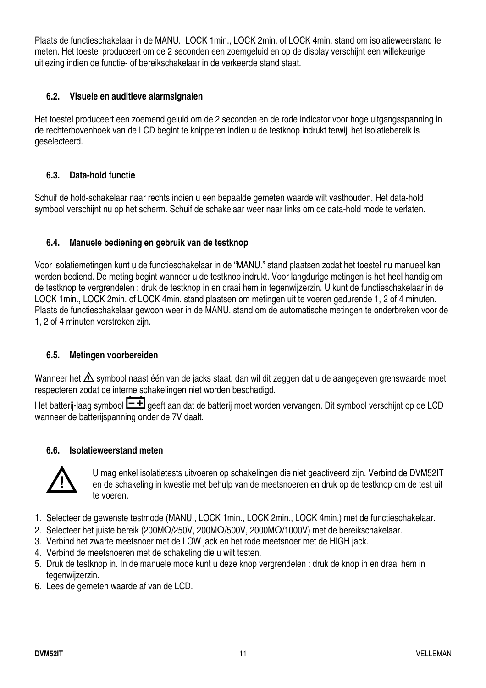Plaats de functieschakelaar in de MANU., LOCK 1min., LOCK 2min. of LOCK 4min. stand om isolatieweerstand te meten. Het toestel produceert om de 2 seconden een zoemgeluid en op de display verschijnt een willekeurige uitlezing indien de functie- of bereikschakelaar in de verkeerde stand staat.

#### **6.2. Visuele en auditieve alarmsignalen**

Het toestel produceert een zoemend geluid om de 2 seconden en de rode indicator voor hoge uitgangsspanning in de rechterbovenhoek van de LCD begint te knipperen indien u de testknop indrukt terwijl het isolatiebereik is geselecteerd.

#### **6.3. Data-hold functie**

Schuif de hold-schakelaar naar rechts indien u een bepaalde gemeten waarde wilt vasthouden. Het data-hold symbool verschijnt nu op het scherm. Schuif de schakelaar weer naar links om de data-hold mode te verlaten.

#### **6.4. Manuele bediening en gebruik van de testknop**

Voor isolatiemetingen kunt u de functieschakelaar in de "MANU." stand plaatsen zodat het toestel nu manueel kan worden bediend. De meting begint wanneer u de testknop indrukt. Voor langdurige metingen is het heel handig om de testknop te vergrendelen : druk de testknop in en draai hem in tegenwijzerzin. U kunt de functieschakelaar in de LOCK 1min., LOCK 2min. of LOCK 4min. stand plaatsen om metingen uit te voeren gedurende 1, 2 of 4 minuten. Plaats de functieschakelaar gewoon weer in de MANU. stand om de automatische metingen te onderbreken voor de 1, 2 of 4 minuten verstreken zijn.

#### **6.5. Metingen voorbereiden**

Wanneer het  $\triangle$  symbool naast één van de jacks staat, dan wil dit zeggen dat u de aangegeven grenswaarde moet respecteren zodat de interne schakelingen niet worden beschadigd.

Het batterij-laag symbool  $\Box$  geeft aan dat de batterij moet worden vervangen. Dit symbool verschijnt op de LCD wanneer de batterijspanning onder de 7V daalt.

#### **6.6. Isolatieweerstand meten**



U mag enkel isolatietests uitvoeren op schakelingen die niet geactiveerd zijn. Verbind de DVM52IT en de schakeling in kwestie met behulp van de meetsnoeren en druk op de testknop om de test uit te voeren.

- 1. Selecteer de gewenste testmode (MANU., LOCK 1min., LOCK 2min., LOCK 4min.) met de functieschakelaar.
- 2. Selecteer het juiste bereik (200MΩ/250V, 200MΩ/500V, 2000MΩ/1000V) met de bereikschakelaar.
- 3. Verbind het zwarte meetsnoer met de LOW jack en het rode meetsnoer met de HIGH jack.
- 4. Verbind de meetsnoeren met de schakeling die u wilt testen.
- 5. Druk de testknop in. In de manuele mode kunt u deze knop vergrendelen : druk de knop in en draai hem in tegenwijzerzin.
- 6. Lees de gemeten waarde af van de LCD.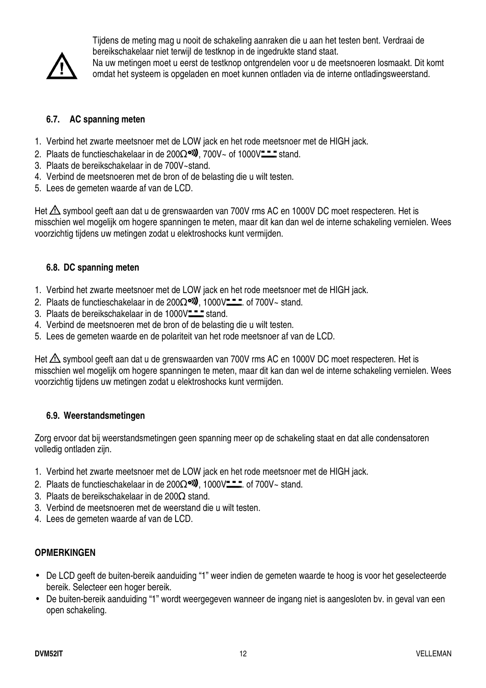

Tijdens de meting mag u nooit de schakeling aanraken die u aan het testen bent. Verdraai de bereikschakelaar niet terwijl de testknop in de ingedrukte stand staat.

Na uw metingen moet u eerst de testknop ontgrendelen voor u de meetsnoeren losmaakt. Dit komt omdat het systeem is opgeladen en moet kunnen ontladen via de interne ontladingsweerstand.

#### **6.7. AC spanning meten**

- 1. Verbind het zwarte meetsnoer met de LOW jack en het rode meetsnoer met de HIGH jack.
- 2. Plaats de functieschakelaar in de 200 $\Omega$ <sup>old</sup>, 700V~ of 1000V $\text{III}$  stand.
- 3. Plaats de bereikschakelaar in de 700V~stand.
- 4. Verbind de meetsnoeren met de bron of de belasting die u wilt testen.
- 5. Lees de gemeten waarde af van de LCD.

Het  $\triangle$  symbool geeft aan dat u de grenswaarden van 700V rms AC en 1000V DC moet respecteren. Het is misschien wel mogelijk om hogere spanningen te meten, maar dit kan dan wel de interne schakeling vernielen. Wees voorzichtig tijdens uw metingen zodat u elektroshocks kunt vermijden.

#### **6.8. DC spanning meten**

- 1. Verbind het zwarte meetsnoer met de LOW jack en het rode meetsnoer met de HIGH jack.
- 2. Plaats de functieschakelaar in de 200 $\Omega$ <sup>o</sup>), 1000V<sup>--</sup> for 700V~ stand.
- 3. Plaats de bereikschakelaar in de  $1000V$ <sup>--</sup> $\frac{1}{2}$  stand.
- 4. Verbind de meetsnoeren met de bron of de belasting die u wilt testen.
- 5. Lees de gemeten waarde en de polariteit van het rode meetsnoer af van de LCD.

Het  $\triangle$  symbool geeft aan dat u de grenswaarden van 700V rms AC en 1000V DC moet respecteren. Het is misschien wel mogelijk om hogere spanningen te meten, maar dit kan dan wel de interne schakeling vernielen. Wees voorzichtig tijdens uw metingen zodat u elektroshocks kunt vermijden.

#### **6.9. Weerstandsmetingen**

Zorg ervoor dat bij weerstandsmetingen geen spanning meer op de schakeling staat en dat alle condensatoren volledig ontladen zijn.

- 1. Verbind het zwarte meetsnoer met de LOW jack en het rode meetsnoer met de HIGH jack.
- 2. Plaats de functieschakelaar in de 200 $\Omega$ <sup>o</sup>. 1000V<sup>--</sup> . of 700V~ stand.
- 3. Plaats de bereikschakelaar in de 200Ω stand.
- 3. Verbind de meetsnoeren met de weerstand die u wilt testen.
- 4. Lees de gemeten waarde af van de LCD.

#### **OPMERKINGEN**

- De LCD geeft de buiten-bereik aanduiding "1" weer indien de gemeten waarde te hoog is voor het geselecteerde bereik. Selecteer een hoger bereik.
- De buiten-bereik aanduiding "1" wordt weergegeven wanneer de ingang niet is aangesloten bv. in geval van een open schakeling.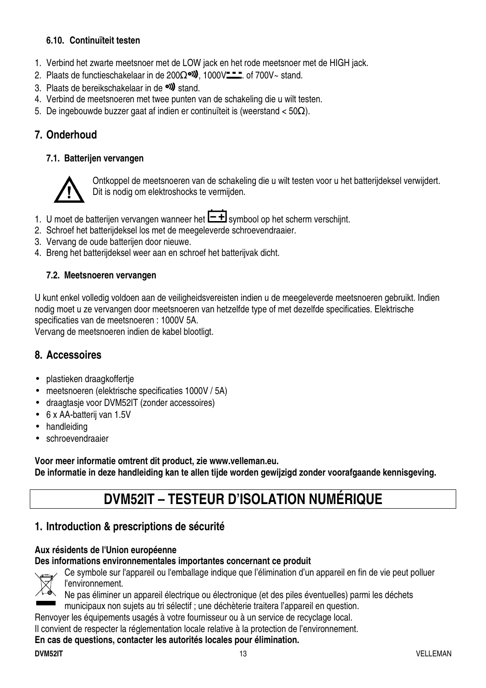#### **6.10. Continuïteit testen**

- 1. Verbind het zwarte meetsnoer met de LOW jack en het rode meetsnoer met de HIGH jack.
- 2. Plaats de functieschakelaar in de 200Ω<sup>o)</sup>, 1000V<sup> $-$ </sup> . of 700V~ stand.
- 3. Plaats de bereikschakelaar in de **ext** stand.
- 4. Verbind de meetsnoeren met twee punten van de schakeling die u wilt testen.
- 5. De ingebouwde buzzer gaat af indien er continuïteit is (weerstand < 50Ω).

# **7. Onderhoud**

#### **7.1. Batterijen vervangen**



Ontkoppel de meetsnoeren van de schakeling die u wilt testen voor u het batterijdeksel verwijdert. Dit is nodig om elektroshocks te vermijden.

- 1. U moet de batterijen vervangen wanneer het  $\boxed{\text{-}\text{+}}$  symbool op het scherm verschijnt.
- 2. Schroef het batterijdeksel los met de meegeleverde schroevendraaier.
- 3. Vervang de oude batterijen door nieuwe.
- 4. Breng het batterijdeksel weer aan en schroef het batterijvak dicht.

#### **7.2. Meetsnoeren vervangen**

U kunt enkel volledig voldoen aan de veiligheidsvereisten indien u de meegeleverde meetsnoeren gebruikt. Indien nodig moet u ze vervangen door meetsnoeren van hetzelfde type of met dezelfde specificaties. Elektrische specificaties van de meetsnoeren : 1000V 5A.

Vervang de meetsnoeren indien de kabel blootligt.

# **8. Accessoires**

- plastieken draagkoffertje
- meetsnoeren (elektrische specificaties 1000V / 5A)
- draagtasje voor DVM52IT (zonder accessoires)
- 6 x AA-batterij van 1.5V
- handleiding
- schroevendraaier

**Voor meer informatie omtrent dit product, zie www.velleman.eu. De informatie in deze handleiding kan te allen tijde worden gewijzigd zonder voorafgaande kennisgeving.** 

# **DVM52IT – TESTEUR D'ISOLATION NUMÉRIQUE**

# **1. Introduction & prescriptions de sécurité**

#### **Aux résidents de l'Union européenne**

**Des informations environnementales importantes concernant ce produit** 



Ce symbole sur l'appareil ou l'emballage indique que l'élimination d'un appareil en fin de vie peut polluer l'environnement.

Ne pas éliminer un appareil électrique ou électronique (et des piles éventuelles) parmi les déchets municipaux non sujets au tri sélectif ; une déchèterie traitera l'appareil en question.

Renvoyer les équipements usagés à votre fournisseur ou à un service de recyclage local.

Il convient de respecter la réglementation locale relative à la protection de l'environnement.

#### **En cas de questions, contacter les autorités locales pour élimination.**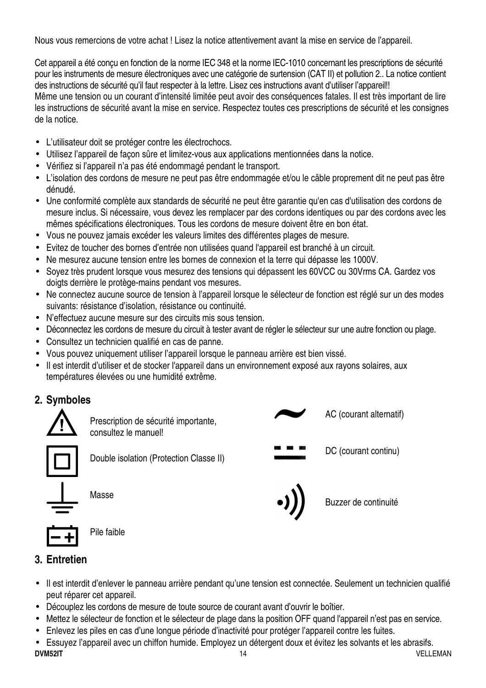Nous vous remercions de votre achat ! Lisez la notice attentivement avant la mise en service de l'appareil.

Cet appareil a été conçu en fonction de la norme IEC 348 et la norme IEC-1010 concernant les prescriptions de sécurité pour les instruments de mesure électroniques avec une catégorie de surtension (CAT II) et pollution 2.. La notice contient des instructions de sécurité qu'il faut respecter à la lettre. Lisez ces instructions avant d'utiliser l'appareil!! Même une tension ou un courant d'intensité limitée peut avoir des conséquences fatales. Il est très important de lire les instructions de sécurité avant la mise en service. Respectez toutes ces prescriptions de sécurité et les consignes de la notice.

- L'utilisateur doit se protéger contre les électrochocs.
- Utilisez l'appareil de façon sûre et limitez-vous aux applications mentionnées dans la notice.
- Vérifiez si l'appareil n'a pas été endommagé pendant le transport.
- L'isolation des cordons de mesure ne peut pas être endommagée et/ou le câble proprement dit ne peut pas être dénudé.
- Une conformité complète aux standards de sécurité ne peut être garantie qu'en cas d'utilisation des cordons de mesure inclus. Si nécessaire, vous devez les remplacer par des cordons identiques ou par des cordons avec les mêmes spécifications électroniques. Tous les cordons de mesure doivent être en bon état.
- Vous ne pouvez jamais excéder les valeurs limites des différentes plages de mesure.
- Evitez de toucher des bornes d'entrée non utilisées quand l'appareil est branché à un circuit.
- Ne mesurez aucune tension entre les bornes de connexion et la terre qui dépasse les 1000V.
- Soyez très prudent lorsque vous mesurez des tensions qui dépassent les 60VCC ou 30Vrms CA. Gardez vos doigts derrière le protège-mains pendant vos mesures.
- Ne connectez aucune source de tension à l'appareil lorsque le sélecteur de fonction est réglé sur un des modes suivants: résistance d'isolation, résistance ou continuité.
- N'effectuez aucune mesure sur des circuits mis sous tension.
- Déconnectez les cordons de mesure du circuit à tester avant de régler le sélecteur sur une autre fonction ou plage.
- Consultez un technicien qualifié en cas de panne.
- Vous pouvez uniquement utiliser l'appareil lorsque le panneau arrière est bien vissé.
- Il est interdit d'utiliser et de stocker l'appareil dans un environnement exposé aux rayons solaires, aux températures élevées ou une humidité extrême.

# **2. Symboles**



Prescription de sécurité importante, consultez le manuel!



Double isolation (Protection Classe II)

Masse

Pile faible



- Il est interdit d'enlever le panneau arrière pendant qu'une tension est connectée. Seulement un technicien qualifié peut réparer cet appareil.
- Découplez les cordons de mesure de toute source de courant avant d'ouvrir le boîtier.
- Mettez le sélecteur de fonction et le sélecteur de plage dans la position OFF quand l'appareil n'est pas en service.
- Enlevez les piles en cas d'une longue période d'inactivité pour protéger l'appareil contre les fuites.
- **DVM52IT** 14 VELLEMAN • Essuyez l'appareil avec un chiffon humide. Employez un détergent doux et évitez les solvants et les abrasifs.

AC (courant alternatif)

DC (courant continu)

Buzzer de continuité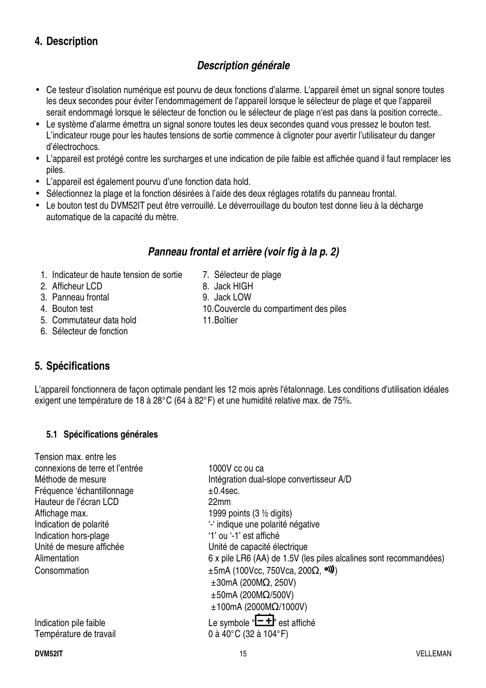# **4. Description**

# **Description générale**

- Ce testeur d'isolation numérique est pourvu de deux fonctions d'alarme. L'appareil émet un signal sonore toutes les deux secondes pour éviter l'endommagement de l'appareil lorsque le sélecteur de plage et que l'appareil serait endommagé lorsque le sélecteur de fonction ou le sélecteur de plage n'est pas dans la position correcte..
- Le système d'alarme émettra un signal sonore toutes les deux secondes quand vous pressez le bouton test. L'indicateur rouge pour les hautes tensions de sortie commence à clignoter pour avertir l'utilisateur du danger d'électrochocs.
- L'appareil est protégé contre les surcharges et une indication de pile faible est affichée quand il faut remplacer les piles.
- L'appareil est également pourvu d'une fonction data hold.
- Sélectionnez la plage et la fonction désirées à l'aide des deux réglages rotatifs du panneau frontal.
- Le bouton test du DVM52IT peut être verrouillé. Le déverrouillage du bouton test donne lieu à la décharge automatique de la capacité du mètre.

# **Panneau frontal et arrière (voir fig à la p. 2)**

- 1. Indicateur de haute tension de sortie 7. Sélecteur de plage
- 2. Afficheur LCD 8. Jack HIGH
- 3. Panneau frontal 9. Jack LOW
- 
- 5. Commutateur data hold 11. Boîtier
- 6. Sélecteur de fonction

# **5. Spécifications**

Tension max. entre les

L'appareil fonctionnera de façon optimale pendant les 12 mois après l'étalonnage. Les conditions d'utilisation idéales exigent une température de 18 à 28°C (64 à 82°F) et une humidité relative max. de 75%.

#### **5.1 Spécifications générales**

| Tension max. entre les          |                                                                   |
|---------------------------------|-------------------------------------------------------------------|
| connexions de terre et l'entrée | 1000V cc ou ca                                                    |
| Méthode de mesure               | Intégration dual-slope convertisseur A/D                          |
| Fréquence 'échantillonnage      | $±0.4$ sec.                                                       |
| Hauteur de l'écran LCD          | 22mm                                                              |
| Affichage max.                  | 1999 points $(3 \frac{1}{2})$ digits)                             |
| Indication de polarité          | "- indique une polarité négative                                  |
| Indication hors-plage           | '1' ou '-1' est affiché                                           |
| Unité de mesure affichée        | Unité de capacité électrique                                      |
| Alimentation                    | 6 x pile LR6 (AA) de 1.5V (les piles alcalines sont recommandées) |
| Consommation                    | $\pm$ 5mA (100Vcc, 750Vca, 200 $\Omega$ , <sup>o)</sup> )         |
|                                 | $\pm 30$ mA (200M $\Omega$ , 250V)                                |
|                                 | $\pm 50$ mA (200M $\Omega$ /500V)                                 |
|                                 | $±100mA$ (2000M $\Omega$ /1000V)                                  |
|                                 | Le symbole " $E^+$ " est affiché                                  |
| Indication pile faible          |                                                                   |
| Température de travail          | 0 à 40°C (32 à 104°F)                                             |
|                                 |                                                                   |

- 
- 4. Bouton test 10. Couvercle du compartiment des piles
	-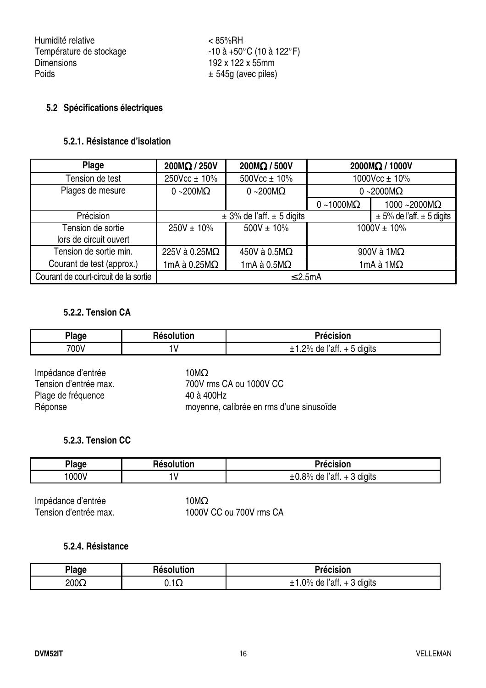Humidité relative < 85%RH Température de stockage  $-10$  à  $+50^{\circ}$ C (10 à 122 $^{\circ}$ F) Dimensions 192 x 122 x 55mm<br>Poids + 545g (avec piles)

#### **5.2 Spécifications électriques**

#### **5.2.1. Résistance d'isolation**

| Plage                                 | 200MΩ / 250V         | 200MΩ / 500V                      | 2000MΩ / 1000V                    |                      |
|---------------------------------------|----------------------|-----------------------------------|-----------------------------------|----------------------|
| Tension de test                       | 250Vcc ± 10%         | 500Vcc ± 10%                      | 1000Vcc $\pm$ 10%                 |                      |
| Plages de mesure                      | $0 - 200M\Omega$     | $0 - 200 \text{M}\Omega$          | 0 ~2000 $M\Omega$                 |                      |
|                                       |                      |                                   | $0 - 1000M\Omega$                 | 1000 ~2000 $M\Omega$ |
| Précision                             |                      | $\pm$ 3% de l'aff. $\pm$ 5 digits | $\pm$ 5% de l'aff. $\pm$ 5 digits |                      |
| Tension de sortie                     | $250V \pm 10\%$      | $500V \pm 10\%$                   | $1000V \pm 10\%$                  |                      |
| lors de circuit ouvert                |                      |                                   |                                   |                      |
| Tension de sortie min.                | 225V à 0.25MΩ        | 450V à 0.5M $\Omega$              | 900V à $1M\Omega$                 |                      |
| Courant de test (approx.)             | 1mA à 0.25 $M\Omega$ | 1mA à $0.5M\Omega$                | 1mA à 1M $\Omega$                 |                      |
| Courant de court-circuit de la sortie | $\leq$ 2.5mA         |                                   |                                   |                      |

#### **5.2.2. Tension CA**

| <b>Plage</b> | <b>Resolution</b> | Précision                                                |  |
|--------------|-------------------|----------------------------------------------------------|--|
| 700V         |                   | <br><br>20/2<br>ratt.<br>de<br>diaits<br>--<br>- 11<br>- |  |

Impédance d'entrée 10MΩ Plage de fréquence 40 à 400Hz

Tension d'entrée max. 700V rms CA ou 1000V CC Réponse moyenne, calibrée en rms d'une sinusoïde

#### **5.2.3. Tension CC**

| <b>Plage</b> | <b>Resolution</b> | Précision                                 |  |  |
|--------------|-------------------|-------------------------------------------|--|--|
| 000V         |                   | <br>$-0.8\%$ de<br>ľatt.<br>diaits<br>+ ა |  |  |

Impédance d'entrée<br>Tension d'entrée max. 1000V

1000V CC ou 700V rms CA

#### **5.2.4. Résistance**

| Plage        | Résolution  | Précision                                  |
|--------------|-------------|--------------------------------------------|
| 200 $\Omega$ | $0.1\Omega$ | digits<br>$.0\%$<br>de<br>≧l′aff.<br>, ن + |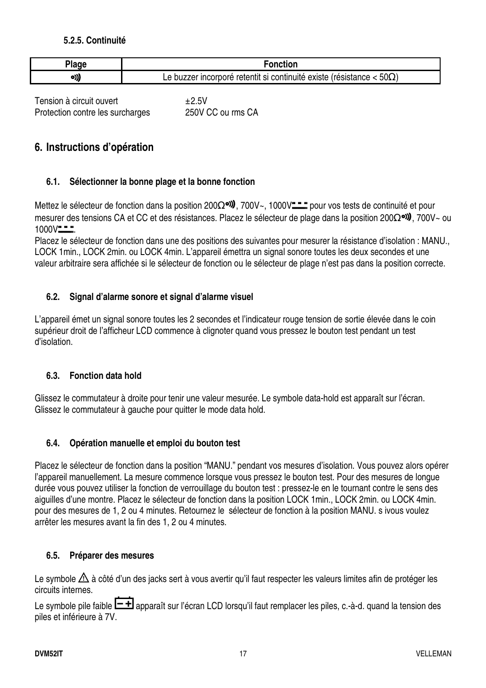#### **5.2.5. Continuité**

| <b>000</b> |                                                                                          |
|------------|------------------------------------------------------------------------------------------|
| עי         | $50\Omega$<br>existe (résistance<br>er incorpore retentit si continuité :<br>≏<br>puzzer |

Tension à circuit ouvert  $\pm 2.5V$ Protection contre les surcharges 250V CC ou rms CA

## **6. Instructions d'opération**

#### **6.1. Sélectionner la bonne plage et la bonne fonction**

Mettez le sélecteur de fonction dans la position 200Ω<sup>o)</sup>, 700V~, 1000V<sup>--</sup> pour vos tests de continuité et pour mesurer des tensions CA et CC et des résistances. Placez le sélecteur de plage dans la position 200Ω<sup>oi)</sup>, 700V~ ou  $1000V - -$ 

Placez le sélecteur de fonction dans une des positions des suivantes pour mesurer la résistance d'isolation : MANU., LOCK 1min., LOCK 2min. ou LOCK 4min. L'appareil émettra un signal sonore toutes les deux secondes et une valeur arbitraire sera affichée si le sélecteur de fonction ou le sélecteur de plage n'est pas dans la position correcte.

#### **6.2. Signal d'alarme sonore et signal d'alarme visuel**

L'appareil émet un signal sonore toutes les 2 secondes et l'indicateur rouge tension de sortie élevée dans le coin supérieur droit de l'afficheur LCD commence à clignoter quand vous pressez le bouton test pendant un test d'isolation.

#### **6.3. Fonction data hold**

Glissez le commutateur à droite pour tenir une valeur mesurée. Le symbole data-hold est apparaît sur l'écran. Glissez le commutateur à gauche pour quitter le mode data hold.

#### **6.4. Opération manuelle et emploi du bouton test**

Placez le sélecteur de fonction dans la position "MANU." pendant vos mesures d'isolation. Vous pouvez alors opérer l'appareil manuellement. La mesure commence lorsque vous pressez le bouton test. Pour des mesures de longue durée vous pouvez utiliser la fonction de verrouillage du bouton test : pressez-le en le tournant contre le sens des aiguilles d'une montre. Placez le sélecteur de fonction dans la position LOCK 1min., LOCK 2min. ou LOCK 4min. pour des mesures de 1, 2 ou 4 minutes. Retournez le sélecteur de fonction à la position MANU. s ivous voulez arrêter les mesures avant la fin des 1, 2 ou 4 minutes.

#### **6.5. Préparer des mesures**

Le symbole  $\triangle$  à côté d'un des jacks sert à vous avertir qu'il faut respecter les valeurs limites afin de protéger les circuits internes.

Le symbole pile faible  $\Box$  apparaît sur l'écran LCD lorsqu'il faut remplacer les piles, c.-à-d. quand la tension des piles et inférieure à 7V.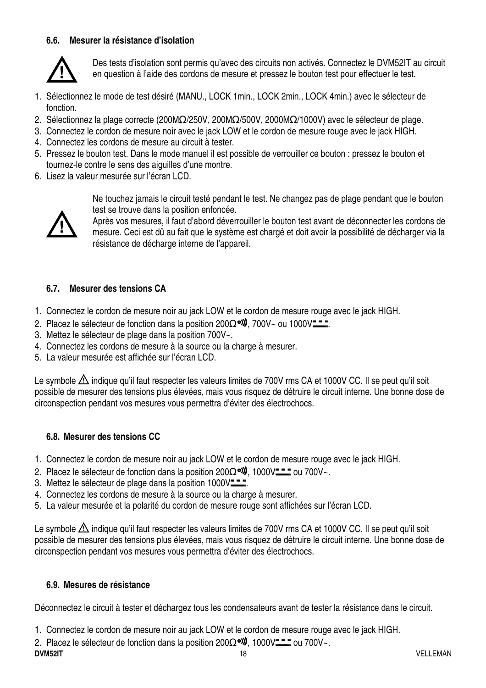#### **6.6. Mesurer la résistance d'isolation**



Des tests d'isolation sont permis qu'avec des circuits non activés. Connectez le DVM52IT au circuit en question à l'aide des cordons de mesure et pressez le bouton test pour effectuer le test.

- 1. Sélectionnez le mode de test désiré (MANU., LOCK 1min., LOCK 2min., LOCK 4min.) avec le sélecteur de fonction.
- 2. Sélectionnez la plage correcte (200MΩ/250V, 200MΩ/500V, 2000MΩ/1000V) avec le sélecteur de plage.
- 3. Connectez le cordon de mesure noir avec le jack LOW et le cordon de mesure rouge avec le jack HIGH.
- 4. Connectez les cordons de mesure au circuit à tester.
- 5. Pressez le bouton test. Dans le mode manuel il est possible de verrouiller ce bouton : pressez le bouton et tournez-le contre le sens des aiguilles d'une montre.
- 6. Lisez la valeur mesurée sur l'écran LCD.



Ne touchez jamais le circuit testé pendant le test. Ne changez pas de plage pendant que le bouton test se trouve dans la position enfoncée.

Après vos mesures, il faut d'abord déverrouiller le bouton test avant de déconnecter les cordons de mesure. Ceci est dû au fait que le système est chargé et doit avoir la possibilité de décharger via la résistance de décharge interne de l'appareil.

#### **6.7. Mesurer des tensions CA**

- 1. Connectez le cordon de mesure noir au jack LOW et le cordon de mesure rouge avec le jack HIGH.
- 2. Placez le sélecteur de fonction dans la position 200 $\Omega$ <sup>old</sup>), 700V~ ou 1000V<del> ...</del>
- 3. Mettez le sélecteur de plage dans la position 700V~.
- 4. Connectez les cordons de mesure à la source ou la charge à mesurer.
- 5. La valeur mesurée est affichée sur l'écran LCD.

Le symbole  $\triangle$  indique qu'il faut respecter les valeurs limites de 700V rms CA et 1000V CC. Il se peut qu'il soit possible de mesurer des tensions plus élevées, mais vous risquez de détruire le circuit interne. Une bonne dose de circonspection pendant vos mesures vous permettra d'éviter des électrochocs.

#### **6.8. Mesurer des tensions CC**

- 1. Connectez le cordon de mesure noir au jack LOW et le cordon de mesure rouge avec le jack HIGH.
- 2. Placez le sélecteur de fonction dans la position 200 $\Omega$ <sup>old</sup>). 1000V<del>-11</del> ou 700V~.
- 3. Mettez le sélecteur de plage dans la position 1000V<sup>-1</sup>.
- 4. Connectez les cordons de mesure à la source ou la charge à mesurer.
- 5. La valeur mesurée et la polarité du cordon de mesure rouge sont affichées sur l'écran LCD.

Le symbole  $\triangle$  indique qu'il faut respecter les valeurs limites de 700V rms CA et 1000V CC. Il se peut qu'il soit possible de mesurer des tensions plus élevées, mais vous risquez de détruire le circuit interne. Une bonne dose de circonspection pendant vos mesures vous permettra d'éviter des électrochocs.

#### **6.9. Mesures de résistance**

Déconnectez le circuit à tester et déchargez tous les condensateurs avant de tester la résistance dans le circuit.

1. Connectez le cordon de mesure noir au jack LOW et le cordon de mesure rouge avec le jack HIGH.

**DVM52IT** 18 VELLEMAN 2. Placez le sélecteur de fonction dans la position 200 $\Omega$ <sup>old</sup>, 1000V<del>LL</del> ou 700V~.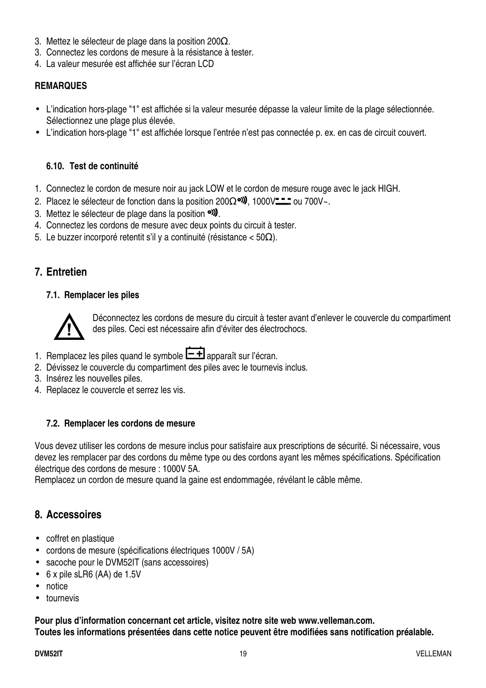- 3. Mettez le sélecteur de plage dans la position 200 $\Omega$ .
- 3. Connectez les cordons de mesure à la résistance à tester.
- 4. La valeur mesurée est affichée sur l'écran LCD

#### **REMARQUES**

- L'indication hors-plage "1" est affichée si la valeur mesurée dépasse la valeur limite de la plage sélectionnée. Sélectionnez une plage plus élevée.
- L'indication hors-plage "1" est affichée lorsque l'entrée n'est pas connectée p. ex. en cas de circuit couvert.

#### **6.10. Test de continuité**

- 1. Connectez le cordon de mesure noir au jack LOW et le cordon de mesure rouge avec le jack HIGH.
- 2. Placez le sélecteur de fonction dans la position 200 $\Omega$ <sup>old</sup>, 1000V<sup>--</sup>- ou 700V~.
- 3. Mettez le sélecteur de plage dans la position  $\circ$ .
- 4. Connectez les cordons de mesure avec deux points du circuit à tester.
- 5. Le buzzer incorporé retentit s'il y a continuité (résistance < 50Ω).

#### **7. Entretien**

#### **7.1. Remplacer les piles**



Déconnectez les cordons de mesure du circuit à tester avant d'enlever le couvercle du compartiment des piles. Ceci est nécessaire afin d'éviter des électrochocs.

- 1. Remplacez les piles quand le symbole  $\Box$  apparaît sur l'écran.
- 2. Dévissez le couvercle du compartiment des piles avec le tournevis inclus.
- 3. Insérez les nouvelles piles.
- 4. Replacez le couvercle et serrez les vis.

#### **7.2. Remplacer les cordons de mesure**

Vous devez utiliser les cordons de mesure inclus pour satisfaire aux prescriptions de sécurité. Si nécessaire, vous devez les remplacer par des cordons du même type ou des cordons ayant les mêmes spécifications. Spécification électrique des cordons de mesure : 1000V 5A.

Remplacez un cordon de mesure quand la gaine est endommagée, révélant le câble même.

#### **8. Accessoires**

- coffret en plastique
- cordons de mesure (spécifications électriques 1000V / 5A)
- sacoche pour le DVM52IT (sans accessoires)
- 6 x pile sLR6 (AA) de 1.5V
- notice
- tournevis

**Pour plus d'information concernant cet article, visitez notre site web www.velleman.com. Toutes les informations présentées dans cette notice peuvent être modifiées sans notification préalable.**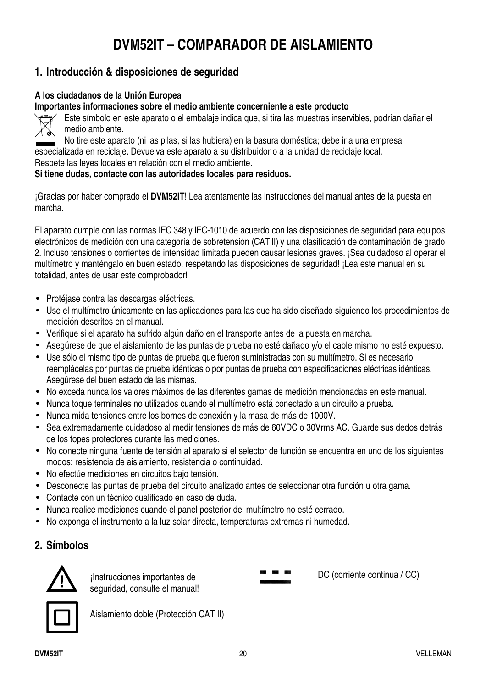# **DVM52IT – COMPARADOR DE AISLAMIENTO**

## **1. Introducción & disposiciones de seguridad**

#### **A los ciudadanos de la Unión Europea**

**Importantes informaciones sobre el medio ambiente concerniente a este producto** 



Este símbolo en este aparato o el embalaje indica que, si tira las muestras inservibles, podrían dañar el medio ambiente.

No tire este aparato (ni las pilas, si las hubiera) en la basura doméstica; debe ir a una empresa especializada en reciclaje. Devuelva este aparato a su distribuidor o a la unidad de reciclaje local. Respete las leyes locales en relación con el medio ambiente.

#### **Si tiene dudas, contacte con las autoridades locales para residuos.**

¡Gracias por haber comprado el **DVM52IT**! Lea atentamente las instrucciones del manual antes de la puesta en marcha.

El aparato cumple con las normas IEC 348 y IEC-1010 de acuerdo con las disposiciones de seguridad para equipos electrónicos de medición con una categoría de sobretensión (CAT II) y una clasificación de contaminación de grado 2. Incluso tensiones o corrientes de intensidad limitada pueden causar lesiones graves. ¡Sea cuidadoso al operar el multímetro y manténgalo en buen estado, respetando las disposiciones de seguridad! ¡Lea este manual en su totalidad, antes de usar este comprobador!

- Protéjase contra las descargas eléctricas.
- Use el multímetro únicamente en las aplicaciones para las que ha sido diseñado siguiendo los procedimientos de medición descritos en el manual.
- Verifique si el aparato ha sufrido algún daño en el transporte antes de la puesta en marcha.
- Asegúrese de que el aislamiento de las puntas de prueba no esté dañado y/o el cable mismo no esté expuesto.
- Use sólo el mismo tipo de puntas de prueba que fueron suministradas con su multímetro. Si es necesario, reemplácelas por puntas de prueba idénticas o por puntas de prueba con especificaciones eléctricas idénticas. Asegúrese del buen estado de las mismas.
- No exceda nunca los valores máximos de las diferentes gamas de medición mencionadas en este manual.
- Nunca toque terminales no utilizados cuando el multímetro está conectado a un circuito a prueba.
- Nunca mida tensiones entre los bornes de conexión y la masa de más de 1000V.
- Sea extremadamente cuidadoso al medir tensiones de más de 60VDC o 30Vrms AC. Guarde sus dedos detrás de los topes protectores durante las mediciones.
- No conecte ninguna fuente de tensión al aparato si el selector de función se encuentra en uno de los siguientes modos: resistencia de aislamiento, resistencia o continuidad.
- No efectúe mediciones en circuitos bajo tensión.
- Desconecte las puntas de prueba del circuito analizado antes de seleccionar otra función u otra gama.
- Contacte con un técnico cualificado en caso de duda.
- Nunca realice mediciones cuando el panel posterior del multímetro no esté cerrado.
- No exponga el instrumento a la luz solar directa, temperaturas extremas ni humedad.

#### **2. Símbolos**



¡Instrucciones importantes de seguridad, consulte el manual!

Aislamiento doble (Protección CAT II)

DC (corriente continua / CC)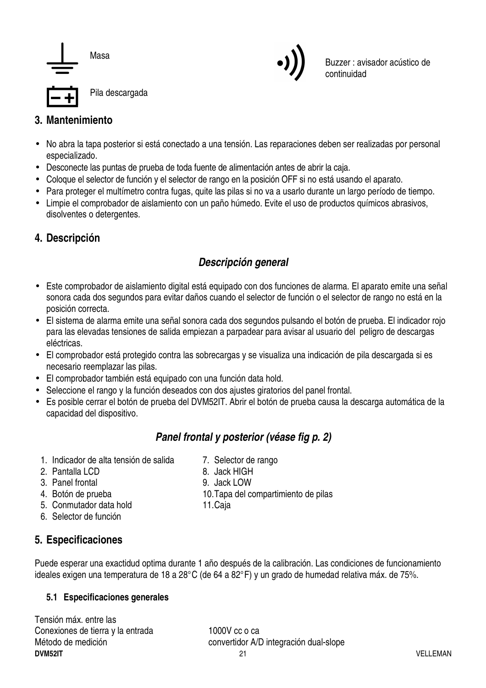



Buzzer : avisador acústico de continuidad

# **3. Mantenimiento**

- No abra la tapa posterior si está conectado a una tensión. Las reparaciones deben ser realizadas por personal especializado.
- Desconecte las puntas de prueba de toda fuente de alimentación antes de abrir la caja.
- Coloque el selector de función y el selector de rango en la posición OFF si no está usando el aparato.
- Para proteger el multímetro contra fugas, quite las pilas si no va a usarlo durante un largo período de tiempo.
- Limpie el comprobador de aislamiento con un paño húmedo. Evite el uso de productos químicos abrasivos, disolventes o detergentes.

# **4. Descripción**

# **Descripción general**

- Este comprobador de aislamiento digital está equipado con dos funciones de alarma. El aparato emite una señal sonora cada dos segundos para evitar daños cuando el selector de función o el selector de rango no está en la posición correcta.
- El sistema de alarma emite una señal sonora cada dos segundos pulsando el botón de prueba. El indicador rojo para las elevadas tensiones de salida empiezan a parpadear para avisar al usuario del peligro de descargas eléctricas.
- El comprobador está protegido contra las sobrecargas y se visualiza una indicación de pila descargada si es necesario reemplazar las pilas.
- El comprobador también está equipado con una función data hold.
- Seleccione el rango y la función deseados con dos ajustes giratorios del panel frontal.
- Es posible cerrar el botón de prueba del DVM52IT. Abrir el botón de prueba causa la descarga automática de la capacidad del dispositivo.

# **Panel frontal y posterior (véase fig p. 2)**

- 1. Indicador de alta tensión de salida 7. Selector de rango
- 2. Pantalla LCD 8. Jack HIGH
- 3. Panel frontal 9. Jack LOW
- 
- 5. Conmutador data hold 11. Caja
- 6. Selector de función

# 4. Botón de prueba 10. Tapa del compartimiento de pilas

- 
- **5. Especificaciones**

Puede esperar una exactidud optima durante 1 año después de la calibración. Las condiciones de funcionamiento ideales exigen una temperatura de 18 a 28°C (de 64 a 82°F) y un grado de humedad relativa máx. de 75%.

#### **5.1 Especificaciones generales**

**DVM52IT** 21 VELLEMAN Tensión máx. entre las Conexiones de tierra y la entrada 1000 y cc o ca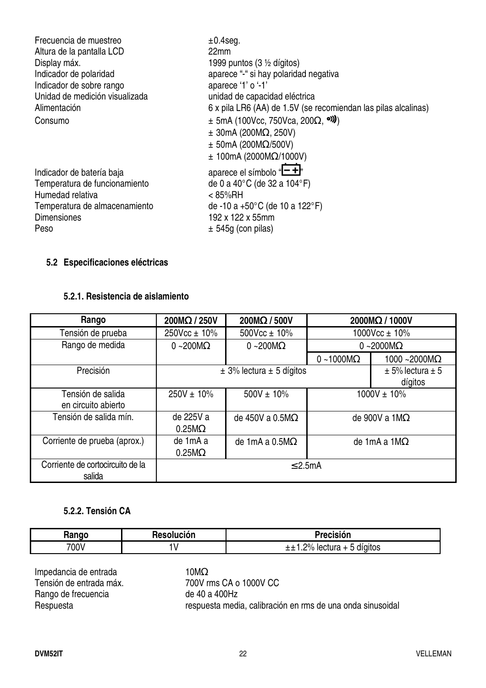| Frecuencia de muestreo         | $±0.4$ seg.                                                    |
|--------------------------------|----------------------------------------------------------------|
| Altura de la pantalla LCD      | 22 <sub>mm</sub>                                               |
| Display máx.                   | 1999 puntos (3 $\frac{1}{2}$ dígitos)                          |
| Indicador de polaridad         | aparece "-" si hay polaridad negativa                          |
| Indicador de sobre rango       | aparece '1' o '-1'                                             |
| Unidad de medición visualizada | unidad de capacidad eléctrica                                  |
| Alimentación                   | 6 x pila LR6 (AA) de 1.5V (se recomiendan las pilas alcalinas) |
| Consumo                        | $\pm$ 5mA (100Vcc, 750Vca, 200 $\Omega$ , <sup>o)</sup> )      |
|                                | $\pm$ 30mA (200M $\Omega$ , 250V)                              |
|                                | $\pm$ 50mA (200M $\Omega$ /500V)                               |
|                                | $\pm$ 100mA (2000M $\Omega$ /1000V)                            |
| Indicador de batería baja      | aparece el símbolo " $\overline{-+}$ "                         |
| Temperatura de funcionamiento  | de 0 a 40°C (de 32 a 104°F)                                    |
| Humedad relativa               | $< 85\%$ RH                                                    |
| Temperatura de almacenamiento  | de -10 a +50 $^{\circ}$ C (de 10 a 122 $^{\circ}$ F)           |
| <b>Dimensiones</b>             | 192 x 122 x 55mm                                               |
| Peso                           | $\pm$ 545g (con pilas)                                         |

#### **5.2 Especificaciones eléctricas**

#### **5.2.1. Resistencia de aislamiento**

| Rango                                      | 200MΩ / 250V               | $200M\Omega/500V$                | 2000MΩ / 1000V            |                                     |  |
|--------------------------------------------|----------------------------|----------------------------------|---------------------------|-------------------------------------|--|
| Tensión de prueba                          | 250Vcc ± 10%               | 500Vcc $\pm$ 10%                 | 1000Vcc $\pm$ 10%         |                                     |  |
| Rango de medida                            | $0 - 200 \text{M}\Omega$   | $0 - 200 \text{M}\Omega$         |                           | 0~2000 $M\Omega$                    |  |
|                                            |                            |                                  | $0 - 1000 \text{M}\Omega$ | $1000 - 2000 \text{M}\Omega$        |  |
| Precisión                                  |                            | $\pm$ 3% lectura $\pm$ 5 dígitos |                           | $\pm$ 5% lectura $\pm$ 5<br>dígitos |  |
| Tensión de salida<br>en circuito abierto   | $250V \pm 10\%$            | $500V \pm 10\%$                  | $1000V \pm 10\%$          |                                     |  |
| Tensión de salida mín.                     | de 225V a<br>$0.25M\Omega$ | de 450V a 0.5M $\Omega$          |                           | de 900V a $1\text{M}\Omega$         |  |
| Corriente de prueba (aprox.)               | de 1mA a<br>$0.25M\Omega$  | de 1mA a $0.5M\Omega$            | de 1mA a 1M $\Omega$      |                                     |  |
| Corriente de cortocircuito de la<br>salida |                            | $\leq$ 2.5mA                     |                           |                                     |  |

#### **5.2.2. Tensión CA**

| Rango | <b>Resolución</b> | Precisión                      |
|-------|-------------------|--------------------------------|
| 700V  | W                 | $\pm$ 1.2% lectura + 5 dígitos |
|       |                   |                                |

Tensión de entrada máx.<br>
Rango de frecuencia de 40 a 400Hz Rango de frecuencia<br>Respuesta

Impedancia de entrada 10MΩ<br>Tensión de entrada máx. 700V rms CA o 1000V CC respuesta media, calibración en rms de una onda sinusoidal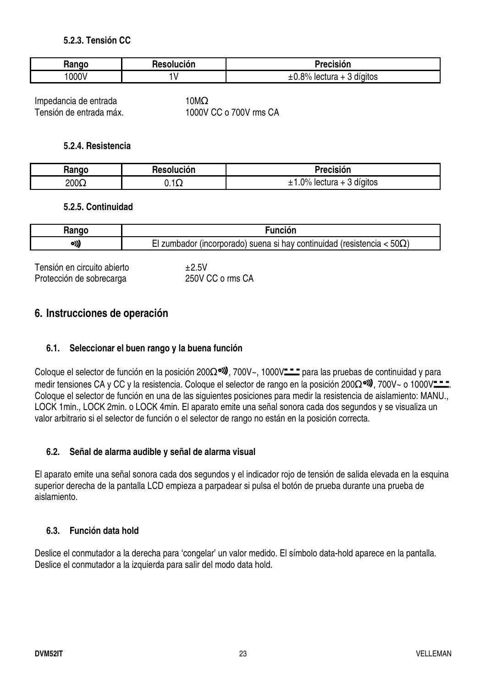#### **5.2.3. Tensión CC**

| ,,,,,, | Resolución<br>nes. | . .<br>Precision                                        |
|--------|--------------------|---------------------------------------------------------|
| 000V   |                    | $R^{0/2}$<br>3 digitos<br>lectura<br>$\mathbf +$<br>/ U |

Impedancia de entrada 10MΩ<br>Tensión de entrada máx. 1000V

1000V CC o 700V rms CA

#### **5.2.4. Resistencia**

| lannr        | Resolución | Precisión                       |
|--------------|------------|---------------------------------|
| 200 $\Omega$ | , , , ,    | $0\%$<br>3 digitos<br>lectura + |

#### **5.2.5. Continuidad**

|      | . .                                                                                                                           |
|------|-------------------------------------------------------------------------------------------------------------------------------|
| o)), | $50\Omega$<br>continu<br>suena<br>$ -$<br>'resistei<br>າມເປລດ<br>$\epsilon$<br>hav<br>uncorporado<br>oadol<br><br>، ا د<br>וכ |

Tensión en circuito abierto  $\pm 2.5V$ Protección de sobrecarga 250V CC o rms CA

## **6. Instrucciones de operación**

#### **6.1. Seleccionar el buen rango y la buena función**

Coloque el selector de función en la posición 200Ω<sup>o))</sup>, 700V~, 1000V— para las pruebas de continuidad y para medir tensiones CA y CC y la resistencia. Coloque el selector de rango en la posición 200 $\Omega$ <sup>ol</sup>), 700V~ o 1000V $\blacksquare$ Coloque el selector de función en una de las siguientes posiciones para medir la resistencia de aislamiento: MANU., LOCK 1min., LOCK 2min. o LOCK 4min. El aparato emite una señal sonora cada dos segundos y se visualiza un valor arbitrario si el selector de función o el selector de rango no están en la posición correcta.

#### **6.2. Señal de alarma audible y señal de alarma visual**

El aparato emite una señal sonora cada dos segundos y el indicador rojo de tensión de salida elevada en la esquina superior derecha de la pantalla LCD empieza a parpadear si pulsa el botón de prueba durante una prueba de aislamiento.

#### **6.3. Función data hold**

Deslice el conmutador a la derecha para 'congelar' un valor medido. El símbolo data-hold aparece en la pantalla. Deslice el conmutador a la izquierda para salir del modo data hold.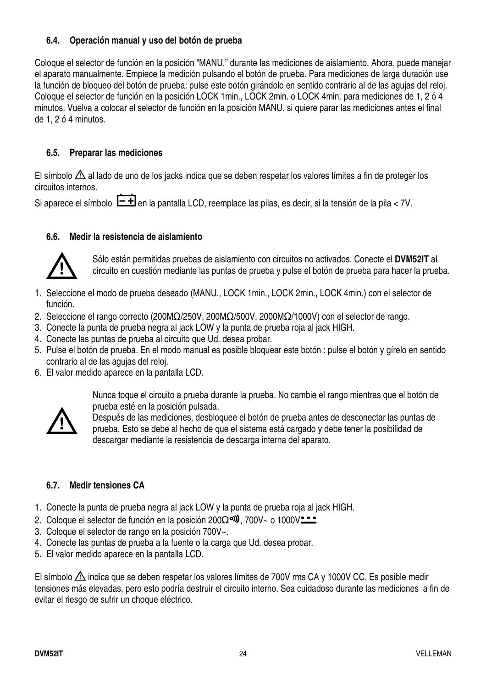#### **6.4. Operación manual y uso del botón de prueba**

Coloque el selector de función en la posición "MANU." durante las mediciones de aislamiento. Ahora, puede manejar el aparato manualmente. Empiece la medición pulsando el botón de prueba. Para mediciones de larga duración use la función de bloqueo del botón de prueba: pulse este botón girándolo en sentido contrario al de las agujas del reloj. Coloque el selector de función en la posición LOCK 1min., LOCK 2min. o LOCK 4min. para mediciones de 1, 2 ó 4 minutos. Vuelva a colocar el selector de función en la posición MANU. si quiere parar las mediciones antes el final de 1, 2 ó 4 minutos.

#### **6.5. Preparar las mediciones**

El símbolo  $\triangle$  al lado de uno de los jacks indica que se deben respetar los valores límites a fin de proteger los circuitos internos.

Si aparece el símbolo  $\boxed{\text{-}\text{+}}$  en la pantalla LCD, reemplace las pilas, es decir, si la tensión de la pila < 7V.

#### **6.6. Medir la resistencia de aislamiento**



Sólo están permitidas pruebas de aislamiento con circuitos no activados. Conecte el **DVM52IT** al circuito en cuestión mediante las puntas de prueba y pulse el botón de prueba para hacer la prueba.

- 1. Seleccione el modo de prueba deseado (MANU., LOCK 1min., LOCK 2min., LOCK 4min.) con el selector de función.
- 2. Seleccione el rango correcto (200MΩ/250V, 200MΩ/500V, 2000MΩ/1000V) con el selector de rango.
- 3. Conecte la punta de prueba negra al jack LOW y la punta de prueba roja al jack HIGH.
- 4. Conecte las puntas de prueba al circuito que Ud. desea probar.
- 5. Pulse el botón de prueba. En el modo manual es posible bloquear este botón : pulse el botón y gírelo en sentido contrario al de las agujas del reloj.
- 6. El valor medido aparece en la pantalla LCD.

Nunca toque el circuito a prueba durante la prueba. No cambie el rango mientras que el botón de prueba esté en la posición pulsada.



Después de las mediciones, desbloquee el botón de prueba antes de desconectar las puntas de prueba. Esto se debe al hecho de que el sistema está cargado y debe tener la posibilidad de descargar mediante la resistencia de descarga interna del aparato.

#### **6.7. Medir tensiones CA**

- 1. Conecte la punta de prueba negra al jack LOW y la punta de prueba roja al jack HIGH.
- 2. Coloque el selector de función en la posición 200 $\Omega$ <sup>o</sup> $\psi$ , 700V~ o 1000V<sup>---</sup>
- 3. Coloque el selector de rango en la posición 700V~.
- 4. Conecte las puntas de prueba a la fuente o la carga que Ud. desea probar.
- 5. El valor medido aparece en la pantalla LCD.

El símbolo  $\triangle$  indica que se deben respetar los valores límites de 700V rms CA y 1000V CC. Es posible medir tensiones más elevadas, pero esto podría destruir el circuito interno. Sea cuidadoso durante las mediciones a fin de evitar el riesgo de sufrir un choque eléctrico.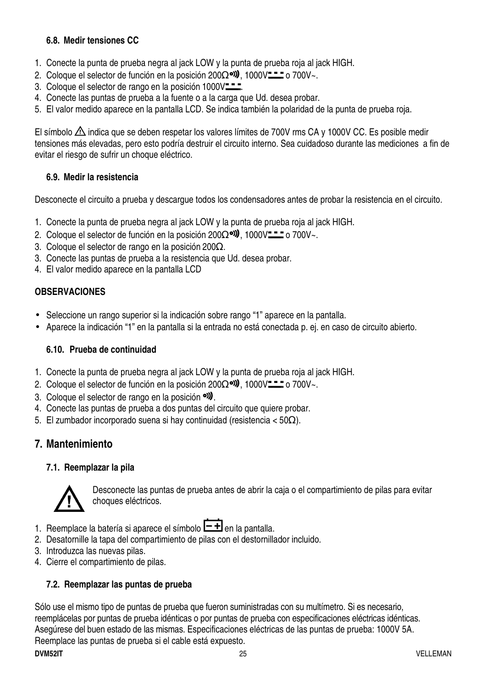#### **6.8. Medir tensiones CC**

- 1. Conecte la punta de prueba negra al jack LOW y la punta de prueba roja al jack HIGH.
- 2. Coloque el selector de función en la posición 200 $\Omega$ <sup>o</sup>), 1000V== o 700V~.
- 3. Coloque el selector de rango en la posición 1000V<sup>-1</sup>.
- 4. Conecte las puntas de prueba a la fuente o a la carga que Ud. desea probar.
- 5. El valor medido aparece en la pantalla LCD. Se indica también la polaridad de la punta de prueba roja.

El símbolo  $\triangle$  indica que se deben respetar los valores límites de 700V rms CA y 1000V CC. Es posible medir tensiones más elevadas, pero esto podría destruir el circuito interno. Sea cuidadoso durante las mediciones a fin de evitar el riesgo de sufrir un choque eléctrico.

#### **6.9. Medir la resistencia**

Desconecte el circuito a prueba y descargue todos los condensadores antes de probar la resistencia en el circuito.

- 1. Conecte la punta de prueba negra al jack LOW y la punta de prueba roja al jack HIGH.
- 2. Coloque el selector de función en la posición 200Ω<sup>oν)</sup>, 1000V— o 700V~.
- 3. Coloque el selector de rango en la posición 200Ω.
- 3. Conecte las puntas de prueba a la resistencia que Ud. desea probar.
- 4. El valor medido aparece en la pantalla LCD

#### **OBSERVACIONES**

- Seleccione un rango superior si la indicación sobre rango "1" aparece en la pantalla.
- Aparece la indicación "1" en la pantalla si la entrada no está conectada p. ej. en caso de circuito abierto.

#### **6.10. Prueba de continuidad**

- 1. Conecte la punta de prueba negra al jack LOW y la punta de prueba roja al jack HIGH.
- 2. Coloque el selector de función en la posición 200 $\Omega$ <sup>o</sup>), 1000V— $\Xi$  o 700V~.
- 3. Coloque el selector de rango en la posición <sup>o)</sup>.
- 4. Conecte las puntas de prueba a dos puntas del circuito que quiere probar.
- 5. El zumbador incorporado suena si hay continuidad (resistencia < 50Ω).

#### **7. Mantenimiento**

#### **7.1. Reemplazar la pila**



Desconecte las puntas de prueba antes de abrir la caja o el compartimiento de pilas para evitar choques eléctricos.

- 1. Reemplace la batería si aparece el símbolo  $\boxed{-1}$  en la pantalla.
- 2. Desatornille la tapa del compartimiento de pilas con el destornillador incluido.
- 3. Introduzca las nuevas pilas.
- 4. Cierre el compartimiento de pilas.

#### **7.2. Reemplazar las puntas de prueba**

Sólo use el mismo tipo de puntas de prueba que fueron suministradas con su multímetro. Si es necesario, reemplácelas por puntas de prueba idénticas o por puntas de prueba con especificaciones eléctricas idénticas. Asegúrese del buen estado de las mismas. Especificaciones eléctricas de las puntas de prueba: 1000V 5A. Reemplace las puntas de prueba si el cable está expuesto.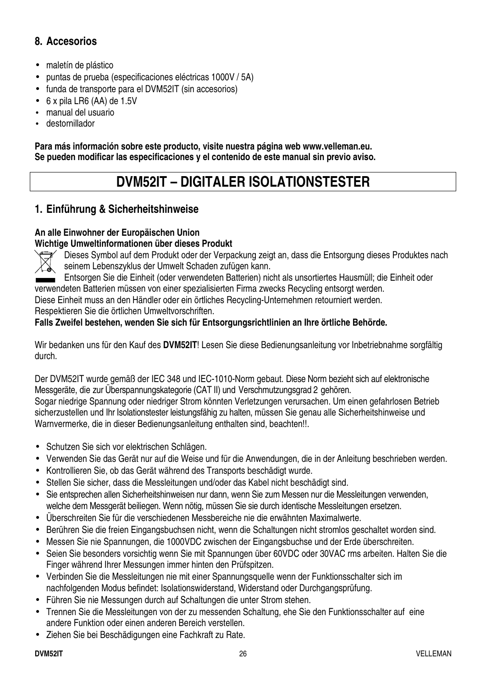# **8. Accesorios**

- maletín de plástico
- puntas de prueba (especificaciones eléctricas 1000V / 5A)
- funda de transporte para el DVM52IT (sin accesorios)
- 6 x pila LR6 (AA) de 1.5V
- manual del usuario
- destornillador

**Para más información sobre este producto, visite nuestra página web www.velleman.eu. Se pueden modificar las especificaciones y el contenido de este manual sin previo aviso.** 

# **DVM52IT – DIGITALER ISOLATIONSTESTER**

## **1. Einführung & Sicherheitshinweise**

#### **An alle Einwohner der Europäischen Union Wichtige Umweltinformationen über dieses Produkt**



Dieses Symbol auf dem Produkt oder der Verpackung zeigt an, dass die Entsorgung dieses Produktes nach seinem Lebenszyklus der Umwelt Schaden zufügen kann.

Entsorgen Sie die Einheit (oder verwendeten Batterien) nicht als unsortiertes Hausmüll; die Einheit oder verwendeten Batterien müssen von einer spezialisierten Firma zwecks Recycling entsorgt werden. Diese Einheit muss an den Händler oder ein örtliches Recycling-Unternehmen retourniert werden.

Respektieren Sie die örtlichen Umweltvorschriften.

#### **Falls Zweifel bestehen, wenden Sie sich für Entsorgungsrichtlinien an Ihre örtliche Behörde.**

Wir bedanken uns für den Kauf des **DVM52IT**! Lesen Sie diese Bedienungsanleitung vor Inbetriebnahme sorgfältig durch.

Der DVM52IT wurde gemäß der IEC 348 und IEC-1010-Norm gebaut. Diese Norm bezieht sich auf elektronische Messgeräte, die zur Überspannungskategorie (CAT II) und Verschmutzungsgrad 2 gehören. Sogar niedrige Spannung oder niedriger Strom könnten Verletzungen verursachen. Um einen gefahrlosen Betrieb sicherzustellen und Ihr Isolationstester leistungsfähig zu halten, müssen Sie genau alle Sicherheitshinweise und Warnvermerke, die in dieser Bedienungsanleitung enthalten sind, beachten!!.

- Schutzen Sie sich vor elektrischen Schlägen.
- Verwenden Sie das Gerät nur auf die Weise und für die Anwendungen, die in der Anleitung beschrieben werden.
- Kontrollieren Sie, ob das Gerät während des Transports beschädigt wurde.
- Stellen Sie sicher, dass die Messleitungen und/oder das Kabel nicht beschädigt sind.
- Sie entsprechen allen Sicherheitshinweisen nur dann, wenn Sie zum Messen nur die Messleitungen verwenden, welche dem Messgerät beiliegen. Wenn nötig, müssen Sie sie durch identische Messleitungen ersetzen.
- Überschreiten Sie für die verschiedenen Messbereiche nie die erwähnten Maximalwerte.
- Berühren Sie die freien Eingangsbuchsen nicht, wenn die Schaltungen nicht stromlos geschaltet worden sind.
- Messen Sie nie Spannungen, die 1000VDC zwischen der Eingangsbuchse und der Erde überschreiten.
- Seien Sie besonders vorsichtig wenn Sie mit Spannungen über 60VDC oder 30VAC rms arbeiten. Halten Sie die Finger während Ihrer Messungen immer hinten den Prüfspitzen.
- Verbinden Sie die Messleitungen nie mit einer Spannungsquelle wenn der Funktionsschalter sich im nachfolgenden Modus befindet: Isolationswiderstand, Widerstand oder Durchgangsprüfung.
- Führen Sie nie Messungen durch auf Schaltungen die unter Strom stehen.
- Trennen Sie die Messleitungen von der zu messenden Schaltung, ehe Sie den Funktionsschalter auf eine andere Funktion oder einen anderen Bereich verstellen.
- Ziehen Sie bei Beschädigungen eine Fachkraft zu Rate.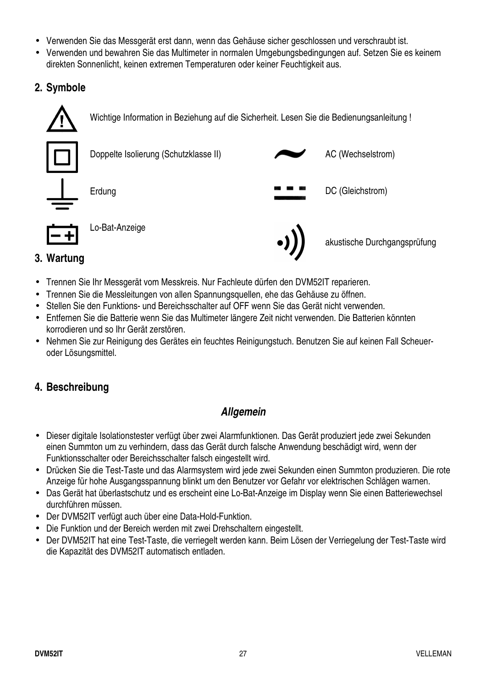- Verwenden Sie das Messgerät erst dann, wenn das Gehäuse sicher geschlossen und verschraubt ist.
- Verwenden und bewahren Sie das Multimeter in normalen Umgebungsbedingungen auf. Setzen Sie es keinem direkten Sonnenlicht, keinen extremen Temperaturen oder keiner Feuchtigkeit aus.

# **2. Symbole**



# **3. Wartung**

- Trennen Sie Ihr Messgerät vom Messkreis. Nur Fachleute dürfen den DVM52IT reparieren.
- Trennen Sie die Messleitungen von allen Spannungsquellen, ehe das Gehäuse zu öffnen.
- Stellen Sie den Funktions- und Bereichsschalter auf OFF wenn Sie das Gerät nicht verwenden.
- Entfernen Sie die Batterie wenn Sie das Multimeter längere Zeit nicht verwenden. Die Batterien könnten korrodieren und so Ihr Gerät zerstören.
- Nehmen Sie zur Reinigung des Gerätes ein feuchtes Reinigungstuch. Benutzen Sie auf keinen Fall Scheueroder Lösungsmittel.

# **4. Beschreibung**

# **Allgemein**

- Dieser digitale Isolationstester verfügt über zwei Alarmfunktionen. Das Gerät produziert jede zwei Sekunden einen Summton um zu verhindern, dass das Gerät durch falsche Anwendung beschädigt wird, wenn der Funktionsschalter oder Bereichsschalter falsch eingestellt wird.
- Drücken Sie die Test-Taste und das Alarmsystem wird jede zwei Sekunden einen Summton produzieren. Die rote Anzeige für hohe Ausgangsspannung blinkt um den Benutzer vor Gefahr vor elektrischen Schlägen warnen.
- Das Gerät hat überlastschutz und es erscheint eine Lo-Bat-Anzeige im Display wenn Sie einen Batteriewechsel durchführen müssen.
- Der DVM52IT verfügt auch über eine Data-Hold-Funktion.
- Die Funktion und der Bereich werden mit zwei Drehschaltern eingestellt.
- Der DVM52IT hat eine Test-Taste, die verriegelt werden kann. Beim Lösen der Verriegelung der Test-Taste wird die Kapazität des DVM52IT automatisch entladen.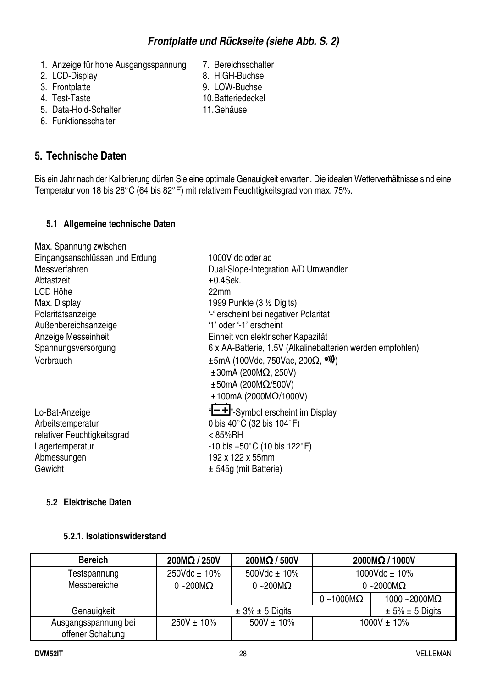- 1. Anzeige für hohe Ausgangsspannung 7. Bereichsschalter
- 
- 
- 
- 5. Data-Hold-Schalter 11. Gehäuse
- 6. Funktionsschalter

# **5. Technische Daten**

- 2. LCD-Display 8. HIGH-Buchse
- 3. Frontplatte 6. 10. 10. 10. Buchsen 10. Batteriedeckel<br>4. Test-Taste 6. 10. Batteriedeckel
	- 10. Batteriedeckel
	-
- Bis ein Jahr nach der Kalibrierung dürfen Sie eine optimale Genauigkeit erwarten. Die idealen Wetterverhältnisse sind eine Temperatur von 18 bis 28°C (64 bis 82°F) mit relativem Feuchtigkeitsgrad von max. 75%.

#### **5.1 Allgemeine technische Daten**

| Max. Spannung zwischen         |                                                            |
|--------------------------------|------------------------------------------------------------|
| Eingangsanschlüssen und Erdung | 1000V dc oder ac                                           |
| Messverfahren                  | Dual-Slope-Integration A/D Umwandler                       |
| Abtastzeit                     | $±0.4$ Sek.                                                |
| LCD Höhe                       | 22mm                                                       |
| Max. Display                   | 1999 Punkte (3 1/2 Digits)                                 |
| Polaritätsanzeige              | '-' erscheint bei negativer Polarität                      |
| Außenbereichsanzeige           | '1' oder '-1' erscheint                                    |
| Anzeige Messeinheit            | Einheit von elektrischer Kapazität                         |
| Spannungsversorgung            | 6 x AA-Batterie, 1.5V (Alkalinebatterien werden empfohlen) |
| Verbrauch                      | $\pm 5$ mA (100Vdc, 750Vac, 200 $\Omega$ , <sup>o)</sup> ) |
|                                | $\pm 30$ mA (200M $\Omega$ , 250V)                         |
|                                | $\pm 50$ mA (200M $\Omega$ /500V)                          |
|                                | $±100mA$ (2000M $\Omega$ /1000V)                           |
| Lo-Bat-Anzeige                 | "-+"-Symbol erscheint im Display                           |
| Arbeitstemperatur              | 0 bis 40 $\degree$ C (32 bis 104 $\degree$ F)              |
| relativer Feuchtigkeitsgrad    | $< 85\%$ RH                                                |
| Lagertemperatur                | $-10$ bis $+50^{\circ}$ C (10 bis 122°F)                   |
| Abmessungen                    | 192 x 122 x 55mm                                           |
| Gewicht                        | ± 545g (mit Batterie)                                      |

#### **5.2 Elektrische Daten**

#### **5.2.1. Isolationswiderstand**

| <b>Bereich</b>                            | $200M\Omega/250V$        | $200M\Omega/500V$        |                   | 2000MΩ / 1000V          |
|-------------------------------------------|--------------------------|--------------------------|-------------------|-------------------------|
| Testspannung                              | $250Vdc \pm 10\%$        | 500Vdc $\pm$ 10%         |                   | 1000Vdc $\pm$ 10%       |
| Messbereiche                              | $0 - 200 \text{M}\Omega$ | $0 - 200 \text{M}\Omega$ |                   | 0 ~2000 $M\Omega$       |
|                                           |                          |                          | $0 - 1000M\Omega$ | 1000 ~2000 $M\Omega$    |
| Genauigkeit                               |                          | $\pm$ 3% $\pm$ 5 Digits  |                   | $\pm$ 5% $\pm$ 5 Digits |
| Ausgangsspannung bei<br>offener Schaltung | $250V \pm 10\%$          | $500V \pm 10\%$          | $1000V \pm 10\%$  |                         |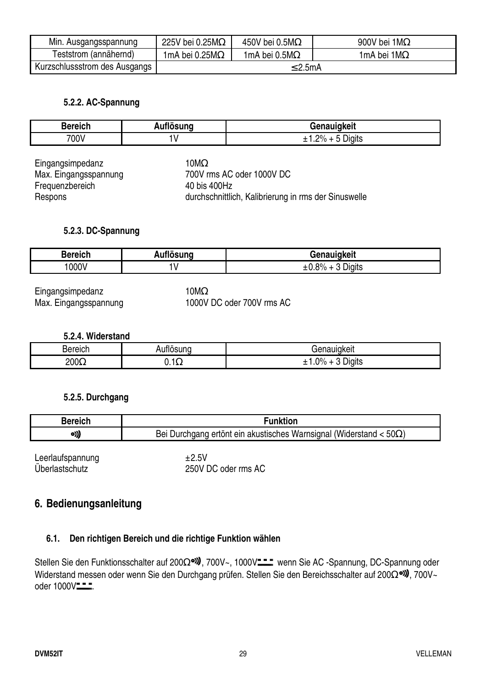| Min. Ausgangsspannung         | 225V bei 0.25M $\Omega$ | 450V bei 0.5M $\Omega$ | 900V bei 1M $\Omega$ |
|-------------------------------|-------------------------|------------------------|----------------------|
| Teststrom (annähernd)         | 1mA bei 0.25M $\Omega$  | 1mA bei 0.5M $\Omega$  | 1mA bei 1M $\Omega$  |
| Kurzschlussstrom des Ausgangs | ≤ 2.5mA                 |                        |                      |

#### **5.2.2. AC-Spannung**

| <b>Bereich</b> | uflösuna | <b>fenauigkeit</b>           |
|----------------|----------|------------------------------|
| 700V           |          | .<br>ာ $\%$<br>Digits<br>. . |

| Eingangsimpedanz      | 10MΩ                                                 |
|-----------------------|------------------------------------------------------|
| Max. Eingangsspannung | 700V rms AC oder 1000V DC                            |
| Frequenzbereich       | 40 bis 400Hz                                         |
| Respons               | durchschnittlich, Kalibrierung in rms der Sinuswelle |

#### **5.2.3. DC-Spannung**

| Bereich | uflösuna | <b>Tenauigkeit</b>                              |
|---------|----------|-------------------------------------------------|
| 000V    | . .      | $\Omega$<br>-<br><b>Jigits</b><br>$\frac{9}{2}$ |

Eingangsimpedanz 10MΩ

Max. Eingangsspannung 1000V DC oder 700V rms AC

**5.2.4. Widerstand** 

| <b>Bereich</b> | <br>$-1100M$<br>. inc<br>. | Genauldkeit                                              |
|----------------|----------------------------|----------------------------------------------------------|
| $200\Omega$    | ٠<br><b>U.IA4</b>          | $\sim$<br>$\Omega$<br>1.8.14.<br>∴יוαוכי<br>70<br>.<br>- |

#### **5.2.5. Durchgang**

| <b>Bereich</b> | Funktion                                                                   |
|----------------|----------------------------------------------------------------------------|
| o)),           | Bei Durchgang ertönt ein akustisches Warnsignal (Widerstand < $50\Omega$ ) |
|                |                                                                            |

Leerlaufspannung  $\pm 2.5V$ 

Überlastschutz 250V DC oder rms AC

#### **6. Bedienungsanleitung**

#### **6.1. Den richtigen Bereich und die richtige Funktion wählen**

Stellen Sie den Funktionsschalter auf 200Ω<sup>o)</sup>, 700V~, 1000V<sup>--</sup> wenn Sie AC -Spannung, DC-Spannung oder Widerstand messen oder wenn Sie den Durchgang prüfen. Stellen Sie den Bereichsschalter auf 200Ω<sup>o)</sup>, 700V~ oder 1000V---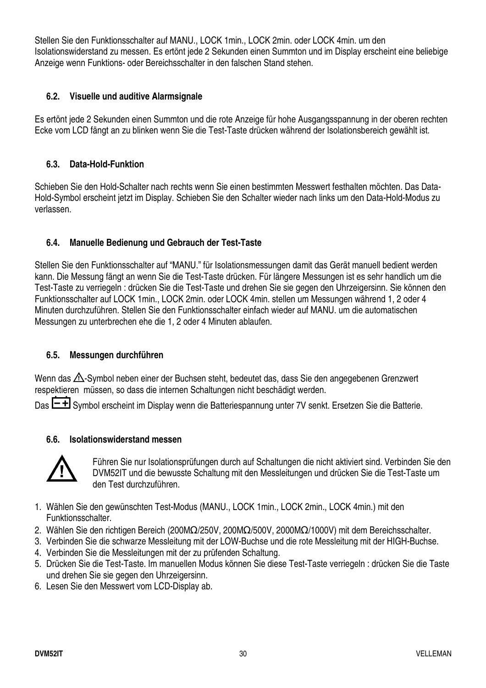Stellen Sie den Funktionsschalter auf MANU., LOCK 1min., LOCK 2min. oder LOCK 4min. um den Isolationswiderstand zu messen. Es ertönt jede 2 Sekunden einen Summton und im Display erscheint eine beliebige Anzeige wenn Funktions- oder Bereichsschalter in den falschen Stand stehen.

#### **6.2. Visuelle und auditive Alarmsignale**

Es ertönt jede 2 Sekunden einen Summton und die rote Anzeige für hohe Ausgangsspannung in der oberen rechten Ecke vom LCD fängt an zu blinken wenn Sie die Test-Taste drücken während der Isolationsbereich gewählt ist.

#### **6.3. Data-Hold-Funktion**

Schieben Sie den Hold-Schalter nach rechts wenn Sie einen bestimmten Messwert festhalten möchten. Das Data-Hold-Symbol erscheint jetzt im Display. Schieben Sie den Schalter wieder nach links um den Data-Hold-Modus zu verlassen.

#### **6.4. Manuelle Bedienung und Gebrauch der Test-Taste**

Stellen Sie den Funktionsschalter auf "MANU." für Isolationsmessungen damit das Gerät manuell bedient werden kann. Die Messung fängt an wenn Sie die Test-Taste drücken. Für längere Messungen ist es sehr handlich um die Test-Taste zu verriegeln : drücken Sie die Test-Taste und drehen Sie sie gegen den Uhrzeigersinn. Sie können den Funktionsschalter auf LOCK 1min., LOCK 2min. oder LOCK 4min. stellen um Messungen während 1, 2 oder 4 Minuten durchzuführen. Stellen Sie den Funktionsschalter einfach wieder auf MANU. um die automatischen Messungen zu unterbrechen ehe die 1, 2 oder 4 Minuten ablaufen.

#### **6.5. Messungen durchführen**

Wenn das  $\triangle$ -Symbol neben einer der Buchsen steht, bedeutet das, dass Sie den angegebenen Grenzwert respektieren müssen, so dass die internen Schaltungen nicht beschädigt werden.

Das  $H$  Symbol erscheint im Display wenn die Batteriespannung unter 7V senkt. Ersetzen Sie die Batterie.

#### **6.6. Isolationswiderstand messen**



Führen Sie nur Isolationsprüfungen durch auf Schaltungen die nicht aktiviert sind. Verbinden Sie den DVM52IT und die bewusste Schaltung mit den Messleitungen und drücken Sie die Test-Taste um den Test durchzuführen.

- 1. Wählen Sie den gewünschten Test-Modus (MANU., LOCK 1min., LOCK 2min., LOCK 4min.) mit den Funktionsschalter.
- 2. Wählen Sie den richtigen Bereich (200MΩ/250V, 200MΩ/500V, 2000MΩ/1000V) mit dem Bereichsschalter.
- 3. Verbinden Sie die schwarze Messleitung mit der LOW-Buchse und die rote Messleitung mit der HIGH-Buchse.
- 4. Verbinden Sie die Messleitungen mit der zu prüfenden Schaltung.
- 5. Drücken Sie die Test-Taste. Im manuellen Modus können Sie diese Test-Taste verriegeln : drücken Sie die Taste und drehen Sie sie gegen den Uhrzeigersinn.
- 6. Lesen Sie den Messwert vom LCD-Display ab.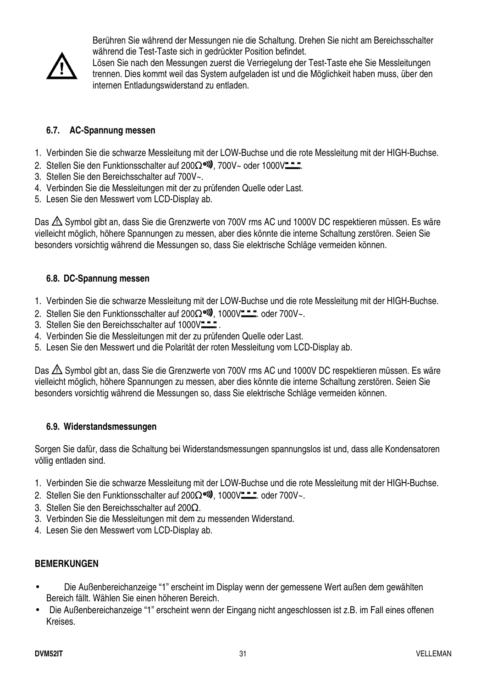

Berühren Sie während der Messungen nie die Schaltung. Drehen Sie nicht am Bereichsschalter während die Test-Taste sich in gedrückter Position befindet.

Lösen Sie nach den Messungen zuerst die Verriegelung der Test-Taste ehe Sie Messleitungen trennen. Dies kommt weil das System aufgeladen ist und die Möglichkeit haben muss, über den internen Entladungswiderstand zu entladen.

#### **6.7. AC-Spannung messen**

- 1. Verbinden Sie die schwarze Messleitung mit der LOW-Buchse und die rote Messleitung mit der HIGH-Buchse.
- 2. Stellen Sie den Funktionsschalter auf 200 $\Omega$ <sup>ol</sup>, 700V~ oder 1000V<sup>--</sup>
- 3. Stellen Sie den Bereichsschalter auf 700V~.
- 4. Verbinden Sie die Messleitungen mit der zu prüfenden Quelle oder Last.
- 5. Lesen Sie den Messwert vom LCD-Display ab.

Das  $\triangle$  Symbol gibt an, dass Sie die Grenzwerte von 700V rms AC und 1000V DC respektieren müssen. Es wäre vielleicht möglich, höhere Spannungen zu messen, aber dies könnte die interne Schaltung zerstören. Seien Sie besonders vorsichtig während die Messungen so, dass Sie elektrische Schläge vermeiden können.

#### **6.8. DC-Spannung messen**

- 1. Verbinden Sie die schwarze Messleitung mit der LOW-Buchse und die rote Messleitung mit der HIGH-Buchse.
- 2. Stellen Sie den Funktionsschalter auf 200 $\Omega$ <sup>old</sup>, 1000V ... oder 700V~.
- 3. Stellen Sie den Bereichsschalter auf 1000V
- 4. Verbinden Sie die Messleitungen mit der zu prüfenden Quelle oder Last.
- 5. Lesen Sie den Messwert und die Polarität der roten Messleitung vom LCD-Display ab.

Das  $\triangle$  Symbol gibt an, dass Sie die Grenzwerte von 700V rms AC und 1000V DC respektieren müssen. Es wäre vielleicht möglich, höhere Spannungen zu messen, aber dies könnte die interne Schaltung zerstören. Seien Sie besonders vorsichtig während die Messungen so, dass Sie elektrische Schläge vermeiden können.

#### **6.9. Widerstandsmessungen**

Sorgen Sie dafür, dass die Schaltung bei Widerstandsmessungen spannungslos ist und, dass alle Kondensatoren völlig entladen sind.

- 1. Verbinden Sie die schwarze Messleitung mit der LOW-Buchse und die rote Messleitung mit der HIGH-Buchse.
- 2. Stellen Sie den Funktionsschalter auf 200 $\Omega$ <sup>ol</sup>). 1000V ... oder 700V~.
- 3. Stellen Sie den Bereichsschalter auf 200Ω.
- 3. Verbinden Sie die Messleitungen mit dem zu messenden Widerstand.
- 4. Lesen Sie den Messwert vom LCD-Display ab.

#### **BEMERKUNGEN**

- Die Außenbereichanzeige "1" erscheint im Display wenn der gemessene Wert außen dem gewählten Bereich fällt. Wählen Sie einen höheren Bereich.
- Die Außenbereichanzeige "1" erscheint wenn der Eingang nicht angeschlossen ist z.B. im Fall eines offenen Kreises.